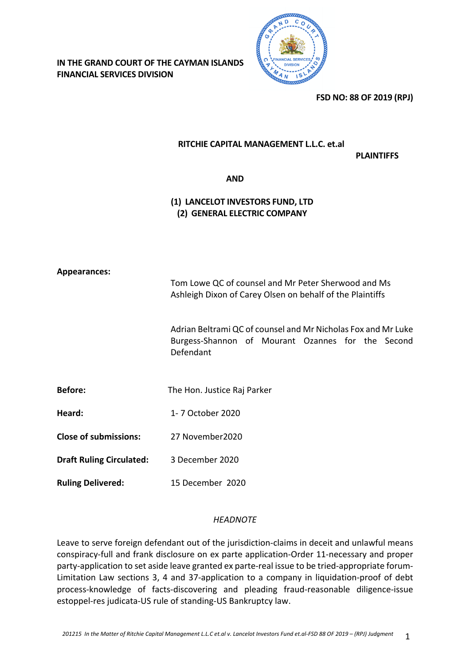**IN THE GRAND COURT OF THE CAYMAN ISLANDS FINANCIAL SERVICES DIVISION**



**FSD NO: 88 OF 2019 (RPJ)**

# **RITCHIE CAPITAL MANAGEMENT L.L.C. et.al**

**PLAINTIFFS**

#### **AND**

# **(1) LANCELOT INVESTORS FUND, LTD (2) GENERAL ELECTRIC COMPANY**

#### **Appearances:**

Tom Lowe QC of counsel and Mr Peter Sherwood and Ms Ashleigh Dixon of Carey Olsen on behalf of the Plaintiffs

Adrian Beltrami QC of counsel and Mr Nicholas Fox and Mr Luke Burgess-Shannon of Mourant Ozannes for the Second Defendant

**Before:** The Hon. Justice Raj Parker

**Heard:** 1- 7 October 2020

**Close of submissions:** 27 November2020

**Draft Ruling Circulated:** 3 December 2020

**Ruling Delivered:** 15 December 2020

#### *HEADNOTE*

Leave to serve foreign defendant out of the jurisdiction-claims in deceit and unlawful means conspiracy-full and frank disclosure on ex parte application-Order 11-necessary and proper party-application to set aside leave granted ex parte-real issue to be tried-appropriate forum-Limitation Law sections 3, 4 and 37-application to a company in liquidation-proof of debt process-knowledge of facts-discovering and pleading fraud-reasonable diligence-issue estoppel-res judicata-US rule of standing-US Bankruptcy law.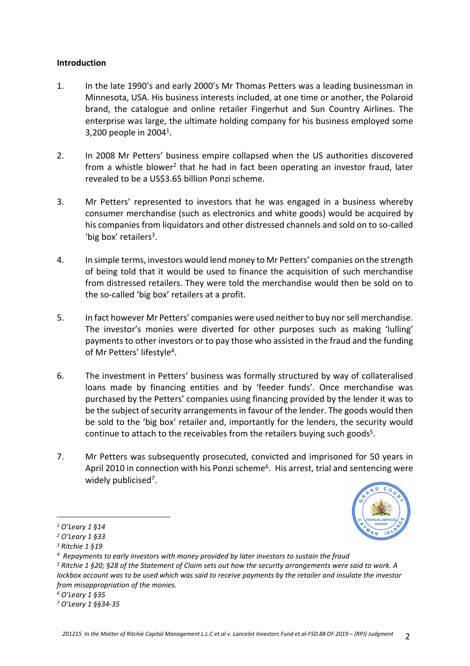#### **Introduction**

- 1. In the late 1990's and early 2000's Mr Thomas Petters was a leading businessman in Minnesota, USA. His business interests included, at one time or another, the Polaroid brand, the catalogue and online retailer Fingerhut and Sun Country Airlines. The enterprise was large, the ultimate holding company for his business employed some 3,200 people in 2004<sup>1</sup>.
- 2. In 2008 Mr Petters' business empire collapsed when the US authorities discovered from a whistle blower<sup>2</sup> that he had in fact been operating an investor fraud, later revealed to be a US\$3.65 billion Ponzi scheme.
- 3. Mr Petters' represented to investors that he was engaged in a business whereby consumer merchandise (such as electronics and white goods) would be acquired by his companies from liquidators and other distressed channels and sold on to so-called 'big box' retailers<sup>3</sup>.
- 4. In simple terms, investors would lend money to Mr Petters' companies on the strength of being told that it would be used to finance the acquisition of such merchandise from distressed retailers. They were told the merchandise would then be sold on to the so-called 'big box' retailers at a profit.
- 5. In fact however Mr Petters' companies were used neither to buy nor sell merchandise. The investor's monies were diverted for other purposes such as making 'lulling' payments to other investors or to pay those who assisted in the fraud and the funding of Mr Petters' lifestyle<sup>4</sup>.
- 6. The investment in Petters' business was formally structured by way of collateralised loans made by financing entities and by 'feeder funds'. Once merchandise was purchased by the Petters' companies using financing provided by the lender it was to be the subject of security arrangements in favour of the lender. The goods would then be sold to the 'big box' retailer and, importantly for the lenders, the security would continue to attach to the receivables from the retailers buying such goods<sup>5</sup>.
- 7. Mr Petters was subsequently prosecuted, convicted and imprisoned for 50 years in April 2010 in connection with his Ponzi scheme<sup>6</sup>. His arrest, trial and sentencing were widely publicised<sup>7</sup>.



*<sup>1</sup> O'Leary 1 §14*

*<sup>2</sup> O'Leary 1 §33*

*<sup>3</sup> Ritchie 1 §19*

*<sup>4</sup> Repayments to early investors with money provided by later investors to sustain the fraud*

*<sup>5</sup> Ritchie 1 §20; §28 of the Statement of Claim sets out how the security arrangements were said to work. A lockbox account was to be used which was said to receive payments by the retailer and insulate the investor from misappropriation of the monies.*

*<sup>6</sup> O'Leary 1 §35* 

*<sup>7</sup> O'Leary 1 §§34-35*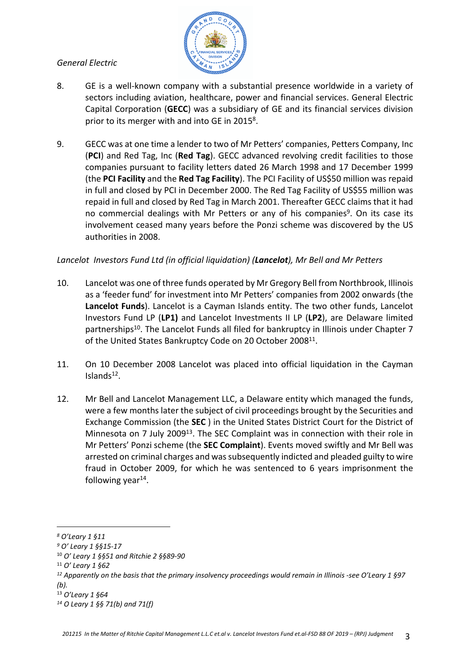## *General Electric*



- 8. GE is a well-known company with a substantial presence worldwide in a variety of sectors including aviation, healthcare, power and financial services. General Electric Capital Corporation (**GECC**) was a subsidiary of GE and its financial services division prior to its merger with and into GE in 2015<sup>8</sup>.
- 9. GECC was at one time a lender to two of Mr Petters' companies, Petters Company, Inc (**PCI**) and Red Tag, Inc (**Red Tag**). GECC advanced revolving credit facilities to those companies pursuant to facility letters dated 26 March 1998 and 17 December 1999 (the **PCI Facility** and the **Red Tag Facility**). The PCI Facility of US\$50 million was repaid in full and closed by PCI in December 2000. The Red Tag Facility of US\$55 million was repaid in full and closed by Red Tag in March 2001. Thereafter GECC claims that it had no commercial dealings with Mr Petters or any of his companies<sup>9</sup>. On its case its involvement ceased many years before the Ponzi scheme was discovered by the US authorities in 2008.

# *Lancelot Investors Fund Ltd (in official liquidation) (Lancelot), Mr Bell and Mr Petters*

- 10. Lancelot was one of three funds operated by Mr Gregory Bell from Northbrook, Illinois as a 'feeder fund' for investment into Mr Petters' companies from 2002 onwards (the **Lancelot Funds**). Lancelot is a Cayman Islands entity. The two other funds, Lancelot Investors Fund LP (**LP1)** and Lancelot Investments II LP (**LP2**), are Delaware limited partnerships<sup>10</sup>. The Lancelot Funds all filed for bankruptcy in Illinois under Chapter 7 of the United States Bankruptcy Code on 20 October 2008<sup>11</sup>.
- 11. On 10 December 2008 Lancelot was placed into official liquidation in the Cayman Islands<sup>12</sup>.
- 12. Mr Bell and Lancelot Management LLC, a Delaware entity which managed the funds, were a few months later the subject of civil proceedings brought by the Securities and Exchange Commission (the **SEC** ) in the United States District Court for the District of Minnesota on 7 July 2009<sup>13</sup>. The SEC Complaint was in connection with their role in Mr Petters' Ponzi scheme (the **SEC Complaint**). Events moved swiftly and Mr Bell was arrested on criminal charges and was subsequently indicted and pleaded guilty to wire fraud in October 2009, for which he was sentenced to 6 years imprisonment the following year<sup>14</sup>.

<sup>10</sup> *O' Leary 1 §§51 and Ritchie 2 §§89-90*

*<sup>8</sup> O'Leary 1 §11* 

*<sup>9</sup> O' Leary 1 §§15-17*

<sup>11</sup> *O' Leary 1 §62*

*<sup>12</sup> Apparently on the basis that the primary insolvency proceedings would remain in Illinois -see O'Leary 1 §97 (b).*

<sup>13</sup> *O'Leary 1 §64*

*<sup>14</sup> O Leary 1 §§ 71(b) and 71(f)*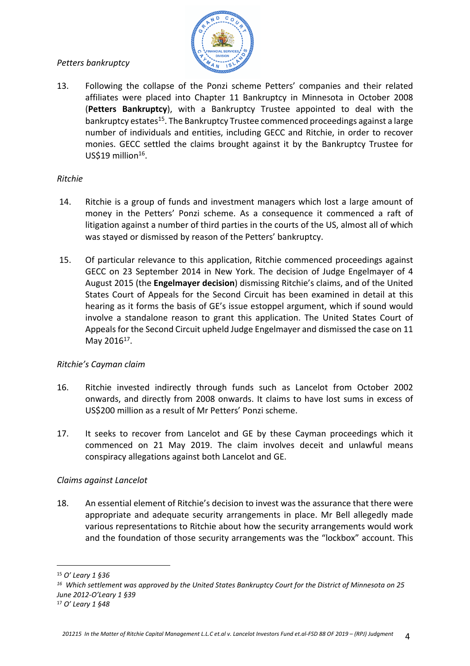# *Petters bankruptcy*



13. Following the collapse of the Ponzi scheme Petters' companies and their related affiliates were placed into Chapter 11 Bankruptcy in Minnesota in October 2008 (**Petters Bankruptcy**), with a Bankruptcy Trustee appointed to deal with the bankruptcy estates<sup>15</sup>. The Bankruptcy Trustee commenced proceedings against a large number of individuals and entities, including GECC and Ritchie, in order to recover monies. GECC settled the claims brought against it by the Bankruptcy Trustee for US\$19 million<sup>16</sup>.

## *Ritchie*

- 14. Ritchie is a group of funds and investment managers which lost a large amount of money in the Petters' Ponzi scheme. As a consequence it commenced a raft of litigation against a number of third parties in the courts of the US, almost all of which was stayed or dismissed by reason of the Petters' bankruptcy.
- 15. Of particular relevance to this application, Ritchie commenced proceedings against GECC on 23 September 2014 in New York. The decision of Judge Engelmayer of 4 August 2015 (the **Engelmayer decision**) dismissing Ritchie's claims, and of the United States Court of Appeals for the Second Circuit has been examined in detail at this hearing as it forms the basis of GE's issue estoppel argument, which if sound would involve a standalone reason to grant this application. The United States Court of Appeals for the Second Circuit upheld Judge Engelmayer and dismissed the case on 11 May 2016<sup>17</sup>.

# *Ritchie's Cayman claim*

- 16. Ritchie invested indirectly through funds such as Lancelot from October 2002 onwards, and directly from 2008 onwards. It claims to have lost sums in excess of US\$200 million as a result of Mr Petters' Ponzi scheme.
- 17. It seeks to recover from Lancelot and GE by these Cayman proceedings which it commenced on 21 May 2019. The claim involves deceit and unlawful means conspiracy allegations against both Lancelot and GE.

# *Claims against Lancelot*

18. An essential element of Ritchie's decision to invest was the assurance that there were appropriate and adequate security arrangements in place. Mr Bell allegedly made various representations to Ritchie about how the security arrangements would work and the foundation of those security arrangements was the "lockbox" account. This

<sup>15</sup> *O' Leary 1 §36*

*<sup>16</sup> Which settlement was approved by the United States Bankruptcy Court for the District of Minnesota on 25 June 2012-O'Leary 1 §39*

<sup>17</sup> *O' Leary 1 §48*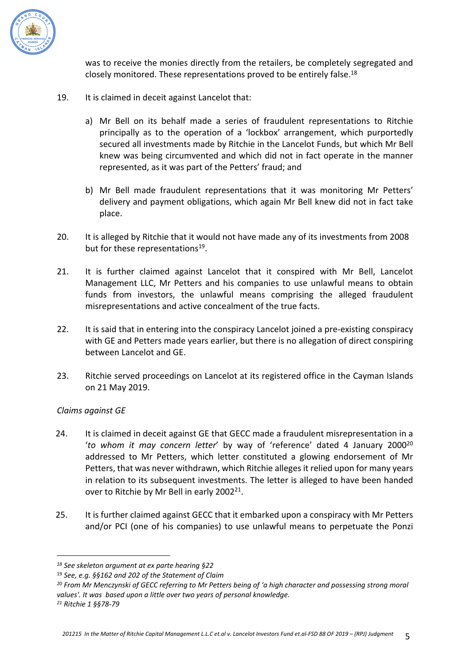

was to receive the monies directly from the retailers, be completely segregated and closely monitored. These representations proved to be entirely false.<sup>18</sup>

- 19. It is claimed in deceit against Lancelot that:
	- a) Mr Bell on its behalf made a series of fraudulent representations to Ritchie principally as to the operation of a 'lockbox' arrangement, which purportedly secured all investments made by Ritchie in the Lancelot Funds, but which Mr Bell knew was being circumvented and which did not in fact operate in the manner represented, as it was part of the Petters' fraud; and
	- b) Mr Bell made fraudulent representations that it was monitoring Mr Petters' delivery and payment obligations, which again Mr Bell knew did not in fact take place.
- 20. It is alleged by Ritchie that it would not have made any of its investments from 2008 but for these representations<sup>19</sup>.
- 21. It is further claimed against Lancelot that it conspired with Mr Bell, Lancelot Management LLC, Mr Petters and his companies to use unlawful means to obtain funds from investors, the unlawful means comprising the alleged fraudulent misrepresentations and active concealment of the true facts.
- 22. It is said that in entering into the conspiracy Lancelot joined a pre-existing conspiracy with GE and Petters made years earlier, but there is no allegation of direct conspiring between Lancelot and GE.
- 23. Ritchie served proceedings on Lancelot at its registered office in the Cayman Islands on 21 May 2019.

# *Claims against GE*

- 24. It is claimed in deceit against GE that GECC made a fraudulent misrepresentation in a '*to whom it may concern letter*' by way of 'reference' dated 4 January 2000<sup>20</sup> addressed to Mr Petters, which letter constituted a glowing endorsement of Mr Petters, that was never withdrawn, which Ritchie alleges it relied upon for many years in relation to its subsequent investments. The letter is alleged to have been handed over to Ritchie by Mr Bell in early 2002<sup>21</sup>.
- 25. It is further claimed against GECC that it embarked upon a conspiracy with Mr Petters and/or PCI (one of his companies) to use unlawful means to perpetuate the Ponzi

*21 Ritchie 1 §§78-79*

*<sup>18</sup> See skeleton argument at ex parte hearing §22*

<sup>19</sup> *See, e.g. §§162 and 202 of the Statement of Claim*

*<sup>20</sup> From Mr Menczynski of GECC referring to Mr Petters being of 'a high character and possessing strong moral values'. It was based upon a little over two years of personal knowledge.*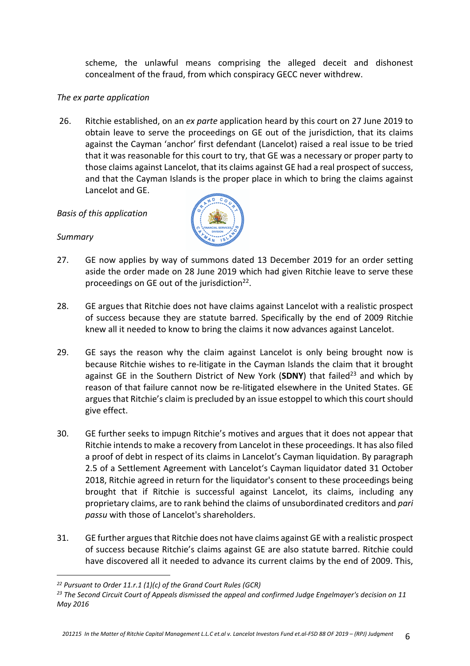scheme, the unlawful means comprising the alleged deceit and dishonest concealment of the fraud, from which conspiracy GECC never withdrew.

#### *The ex parte application*

26. Ritchie established, on an *ex parte* application heard by this court on 27 June 2019 to obtain leave to serve the proceedings on GE out of the jurisdiction, that its claims against the Cayman 'anchor' first defendant (Lancelot) raised a real issue to be tried that it was reasonable for this court to try, that GE was a necessary or proper party to those claims against Lancelot, that its claims against GE had a real prospect of success, and that the Cayman Islands is the proper place in which to bring the claims against Lancelot and GE.

#### *Basis of this application*

#### *Summary*



- 27. GE now applies by way of summons dated 13 December 2019 for an order setting aside the order made on 28 June 2019 which had given Ritchie leave to serve these proceedings on GE out of the jurisdiction<sup>22</sup>.
- 28. GE argues that Ritchie does not have claims against Lancelot with a realistic prospect of success because they are statute barred. Specifically by the end of 2009 Ritchie knew all it needed to know to bring the claims it now advances against Lancelot.
- 29. GE says the reason why the claim against Lancelot is only being brought now is because Ritchie wishes to re-litigate in the Cayman Islands the claim that it brought against GE in the Southern District of New York (SDNY) that failed<sup>23</sup> and which by reason of that failure cannot now be re-litigated elsewhere in the United States. GE argues that Ritchie's claim is precluded by an issue estoppel to which this court should give effect.
- 30. GE further seeks to impugn Ritchie's motives and argues that it does not appear that Ritchie intends to make a recovery from Lancelot in these proceedings. It has also filed a proof of debt in respect of its claims in Lancelot's Cayman liquidation. By paragraph 2.5 of a Settlement Agreement with Lancelot's Cayman liquidator dated 31 October 2018, Ritchie agreed in return for the liquidator's consent to these proceedings being brought that if Ritchie is successful against Lancelot, its claims, including any proprietary claims, are to rank behind the claims of unsubordinated creditors and *pari passu* with those of Lancelot's shareholders.
- 31. GE further argues that Ritchie does not have claims against GE with a realistic prospect of success because Ritchie's claims against GE are also statute barred. Ritchie could have discovered all it needed to advance its current claims by the end of 2009. This,

*<sup>22</sup> Pursuant to Order 11.r.1 (1)(c) of the Grand Court Rules (GCR)*

*<sup>23</sup> The Second Circuit Court of Appeals dismissed the appeal and confirmed Judge Engelmayer's decision on 11 May 2016*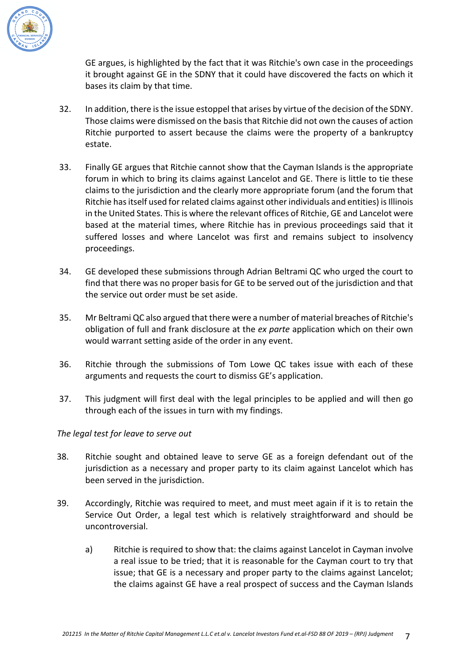

GE argues, is highlighted by the fact that it was Ritchie's own case in the proceedings it brought against GE in the SDNY that it could have discovered the facts on which it bases its claim by that time.

- 32. In addition, there is the issue estoppel that arises by virtue of the decision of the SDNY. Those claims were dismissed on the basis that Ritchie did not own the causes of action Ritchie purported to assert because the claims were the property of a bankruptcy estate.
- 33. Finally GE argues that Ritchie cannot show that the Cayman Islands is the appropriate forum in which to bring its claims against Lancelot and GE. There is little to tie these claims to the jurisdiction and the clearly more appropriate forum (and the forum that Ritchie has itself used for related claims against other individuals and entities) is Illinois in the United States. This is where the relevant offices of Ritchie, GE and Lancelot were based at the material times, where Ritchie has in previous proceedings said that it suffered losses and where Lancelot was first and remains subject to insolvency proceedings.
- 34. GE developed these submissions through Adrian Beltrami QC who urged the court to find that there was no proper basis for GE to be served out of the jurisdiction and that the service out order must be set aside.
- 35. Mr Beltrami QC also argued that there were a number of material breaches of Ritchie's obligation of full and frank disclosure at the *ex parte* application which on their own would warrant setting aside of the order in any event.
- 36. Ritchie through the submissions of Tom Lowe QC takes issue with each of these arguments and requests the court to dismiss GE's application.
- 37. This judgment will first deal with the legal principles to be applied and will then go through each of the issues in turn with my findings.

# *The legal test for leave to serve out*

- 38. Ritchie sought and obtained leave to serve GE as a foreign defendant out of the jurisdiction as a necessary and proper party to its claim against Lancelot which has been served in the jurisdiction.
- 39. Accordingly, Ritchie was required to meet, and must meet again if it is to retain the Service Out Order, a legal test which is relatively straightforward and should be uncontroversial.
	- a) Ritchie is required to show that: the claims against Lancelot in Cayman involve a real issue to be tried; that it is reasonable for the Cayman court to try that issue; that GE is a necessary and proper party to the claims against Lancelot; the claims against GE have a real prospect of success and the Cayman Islands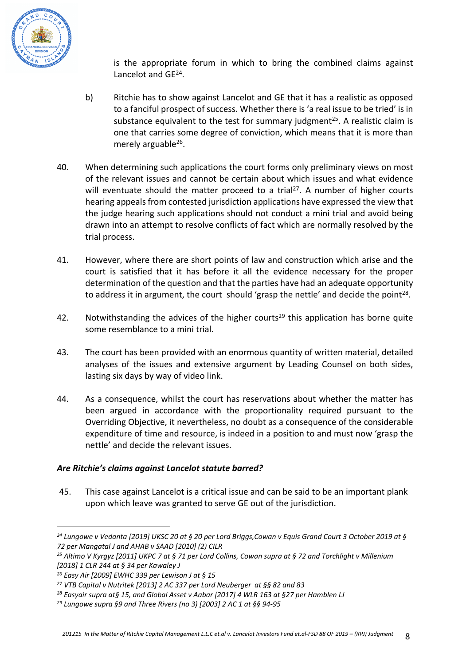

is the appropriate forum in which to bring the combined claims against Lancelot and GE<sup>24</sup>.

- b) Ritchie has to show against Lancelot and GE that it has a realistic as opposed to a fanciful prospect of success. Whether there is 'a real issue to be tried' is in substance equivalent to the test for summary judgment<sup>25</sup>. A realistic claim is one that carries some degree of conviction, which means that it is more than merely arguable<sup>26</sup>.
- 40. When determining such applications the court forms only preliminary views on most of the relevant issues and cannot be certain about which issues and what evidence will eventuate should the matter proceed to a trial<sup>27</sup>. A number of higher courts hearing appeals from contested jurisdiction applications have expressed the view that the judge hearing such applications should not conduct a mini trial and avoid being drawn into an attempt to resolve conflicts of fact which are normally resolved by the trial process.
- 41. However, where there are short points of law and construction which arise and the court is satisfied that it has before it all the evidence necessary for the proper determination of the question and that the parties have had an adequate opportunity to address it in argument, the court should 'grasp the nettle' and decide the point<sup>28</sup>.
- 42. Notwithstanding the advices of the higher courts<sup>29</sup> this application has borne quite some resemblance to a mini trial.
- 43. The court has been provided with an enormous quantity of written material, detailed analyses of the issues and extensive argument by Leading Counsel on both sides, lasting six days by way of video link.
- 44. As a consequence, whilst the court has reservations about whether the matter has been argued in accordance with the proportionality required pursuant to the Overriding Objective, it nevertheless, no doubt as a consequence of the considerable expenditure of time and resource, is indeed in a position to and must now 'grasp the nettle' and decide the relevant issues.

# *Are Ritchie's claims against Lancelot statute barred?*

45. This case against Lancelot is a critical issue and can be said to be an important plank upon which leave was granted to serve GE out of the jurisdiction.

*<sup>24</sup> Lungowe v Vedanta [2019] UKSC 20 at § 20 per Lord Briggs,Cowan v Equis Grand Court 3 October 2019 at § 72 per Mangatal J and AHAB v SAAD [2010] (2) CILR* 

*<sup>25</sup> Altimo V Kyrgyz [2011] UKPC 7 at § 71 per Lord Collins, Cowan supra at § 72 and Torchlight v Millenium [2018] 1 CLR 244 at § 34 per Kawaley J* 

*<sup>26</sup> Easy Air [2009] EWHC 339 per Lewison J at § 15* 

*<sup>27</sup> VTB Capital v Nutritek [2013] 2 AC 337 per Lord Neuberger at §§ 82 and 83*

*<sup>28</sup> Easyair supra at§ 15, and Global Asset v Aabar [2017] 4 WLR 163 at §27 per Hamblen LJ*

*<sup>29</sup> Lungowe supra §9 and Three Rivers (no 3) [2003] 2 AC 1 at §§ 94-95*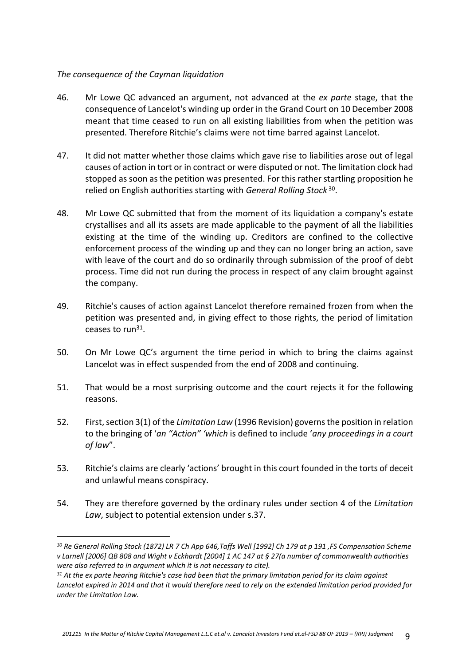## *The consequence of the Cayman liquidation*

- 46. Mr Lowe QC advanced an argument, not advanced at the *ex parte* stage, that the consequence of Lancelot's winding up order in the Grand Court on 10 December 2008 meant that time ceased to run on all existing liabilities from when the petition was presented. Therefore Ritchie's claims were not time barred against Lancelot.
- 47. It did not matter whether those claims which gave rise to liabilities arose out of legal causes of action in tort or in contract or were disputed or not. The limitation clock had stopped as soon as the petition was presented. For this rather startling proposition he relied on English authorities starting with *General Rolling Stock*<sup>30</sup>.
- 48. Mr Lowe QC submitted that from the moment of its liquidation a company's estate crystallises and all its assets are made applicable to the payment of all the liabilities existing at the time of the winding up. Creditors are confined to the collective enforcement process of the winding up and they can no longer bring an action, save with leave of the court and do so ordinarily through submission of the proof of debt process. Time did not run during the process in respect of any claim brought against the company.
- 49. Ritchie's causes of action against Lancelot therefore remained frozen from when the petition was presented and, in giving effect to those rights, the period of limitation ceases to run<sup>31</sup>.
- 50. On Mr Lowe QC's argument the time period in which to bring the claims against Lancelot was in effect suspended from the end of 2008 and continuing.
- 51. That would be a most surprising outcome and the court rejects it for the following reasons.
- 52. First, section 3(1) of the *Limitation Law* (1996 Revision) governs the position in relation to the bringing of '*an "Action" 'which* is defined to include '*any proceedings in a court of law*".
- 53. Ritchie's claims are clearly 'actions' brought in this court founded in the torts of deceit and unlawful means conspiracy.
- 54. They are therefore governed by the ordinary rules under section 4 of the *Limitation Law*, subject to potential extension under s.37.

*<sup>30</sup> Re General Rolling Stock (1872) LR 7 Ch App 646,Taffs Well [1992] Ch 179 at p 191 ,FS Compensation Scheme v Larnell [2006] QB 808 and Wight v Eckhardt [2004] 1 AC 147 at § 27(a number of commonwealth authorities were also referred to in argument which it is not necessary to cite).*

*<sup>31</sup> At the ex parte hearing Ritchie's case had been that the primary limitation period for its claim against Lancelot expired in 2014 and that it would therefore need to rely on the extended limitation period provided for under the Limitation Law.*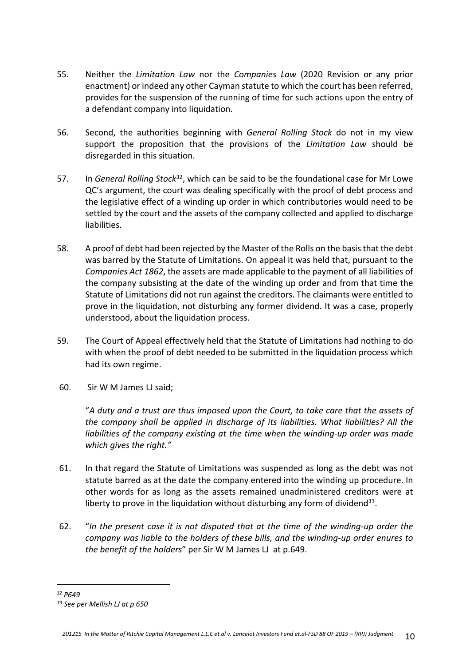- 55. Neither the *Limitation Law* nor the *Companies Law* (2020 Revision or any prior enactment) or indeed any other Cayman statute to which the court has been referred, provides for the suspension of the running of time for such actions upon the entry of a defendant company into liquidation.
- 56. Second, the authorities beginning with *General Rolling Stock* do not in my view support the proposition that the provisions of the *Limitation Law* should be disregarded in this situation.
- 57. In *General Rolling Stock*<sup>32</sup>, which can be said to be the foundational case for Mr Lowe QC's argument, the court was dealing specifically with the proof of debt process and the legislative effect of a winding up order in which contributories would need to be settled by the court and the assets of the company collected and applied to discharge liabilities.
- 58. A proof of debt had been rejected by the Master of the Rolls on the basis that the debt was barred by the Statute of Limitations. On appeal it was held that, pursuant to the *Companies Act 1862*, the assets are made applicable to the payment of all liabilities of the company subsisting at the date of the winding up order and from that time the Statute of Limitations did not run against the creditors. The claimants were entitled to prove in the liquidation, not disturbing any former dividend. It was a case, properly understood, about the liquidation process.
- 59. The Court of Appeal effectively held that the Statute of Limitations had nothing to do with when the proof of debt needed to be submitted in the liquidation process which had its own regime.
- 60. Sir W M James LJ said;

"*A duty and a trust are thus imposed upon the Court, to take care that the assets of the company shall be applied in discharge of its liabilities. What liabilities? All the liabilities of the company existing at the time when the winding-up order was made which gives the right."*

- 61. In that regard the Statute of Limitations was suspended as long as the debt was not statute barred as at the date the company entered into the winding up procedure. In other words for as long as the assets remained unadministered creditors were at liberty to prove in the liquidation without disturbing any form of dividend<sup>33</sup>.
- 62. "*In the present case it is not disputed that at the time of the winding-up order the company was liable to the holders of these bills, and the winding-up order enures to the benefit of the holders*" per Sir W M James LJ at p.649.

*<sup>32</sup> P649*

*<sup>33</sup> See per Mellish LJ at p 650*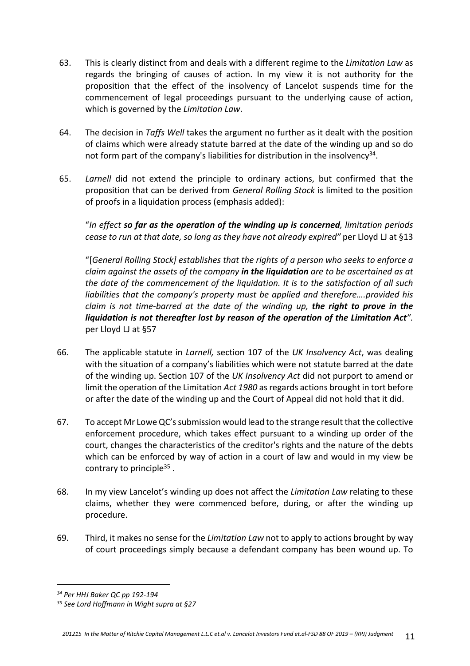- 63. This is clearly distinct from and deals with a different regime to the *Limitation Law* as regards the bringing of causes of action. In my view it is not authority for the proposition that the effect of the insolvency of Lancelot suspends time for the commencement of legal proceedings pursuant to the underlying cause of action, which is governed by the *Limitation Law*.
- 64. The decision in *Taffs Well* takes the argument no further as it dealt with the position of claims which were already statute barred at the date of the winding up and so do not form part of the company's liabilities for distribution in the insolvency<sup>34</sup>.
- 65. *Larnell* did not extend the principle to ordinary actions, but confirmed that the proposition that can be derived from *General Rolling Stock* is limited to the position of proofs in a liquidation process (emphasis added):

"*In effect so far as the operation of the winding up is concerned, limitation periods cease to run at that date, so long as they have not already expired"* per Lloyd LJ at §13

"[*General Rolling Stock] establishes that the rights of a person who seeks to enforce a claim against the assets of the company in the liquidation are to be ascertained as at the date of the commencement of the liquidation. It is to the satisfaction of all such liabilities that the company's property must be applied and therefore….provided his claim is not time-barred at the date of the winding up, the right to prove in the liquidation is not thereafter lost by reason of the operation of the Limitation Act".*  per Lloyd LJ at §57

- 66. The applicable statute in *Larnell,* section 107 of the *UK Insolvency Act*, was dealing with the situation of a company's liabilities which were not statute barred at the date of the winding up. Section 107 of the *UK Insolvency Act* did not purport to amend or limit the operation of the Limitation *Act 1980* as regards actions brought in tort before or after the date of the winding up and the Court of Appeal did not hold that it did.
- 67. To accept Mr Lowe QC's submission would lead to the strange result that the collective enforcement procedure, which takes effect pursuant to a winding up order of the court, changes the characteristics of the creditor's rights and the nature of the debts which can be enforced by way of action in a court of law and would in my view be contrary to principle<sup>35</sup>.
- 68. In my view Lancelot's winding up does not affect the *Limitation Law* relating to these claims, whether they were commenced before, during, or after the winding up procedure.
- 69. Third, it makes no sense for the *Limitation Law* not to apply to actions brought by way of court proceedings simply because a defendant company has been wound up. To

*<sup>34</sup> Per HHJ Baker QC pp 192-194*

*<sup>35</sup> See Lord Hoffmann in Wight supra at §27*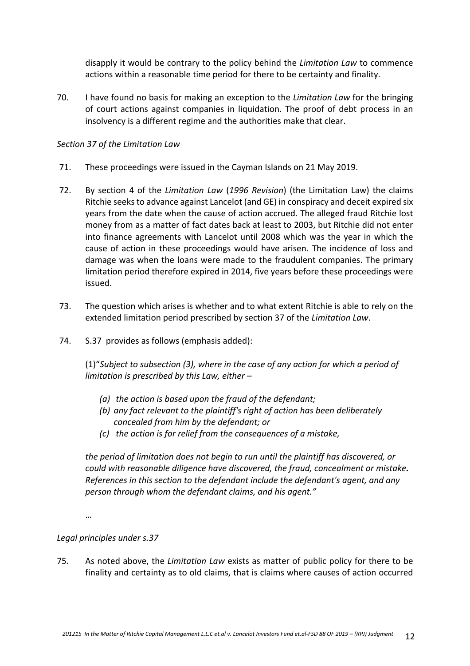disapply it would be contrary to the policy behind the *Limitation Law* to commence actions within a reasonable time period for there to be certainty and finality.

70. I have found no basis for making an exception to the *Limitation Law* for the bringing of court actions against companies in liquidation. The proof of debt process in an insolvency is a different regime and the authorities make that clear.

#### *Section 37 of the Limitation Law*

- 71. These proceedings were issued in the Cayman Islands on 21 May 2019.
- 72. By section 4 of the *Limitation Law* (*1996 Revision*) (the Limitation Law) the claims Ritchie seeks to advance against Lancelot (and GE) in conspiracy and deceit expired six years from the date when the cause of action accrued. The alleged fraud Ritchie lost money from as a matter of fact dates back at least to 2003, but Ritchie did not enter into finance agreements with Lancelot until 2008 which was the year in which the cause of action in these proceedings would have arisen. The incidence of loss and damage was when the loans were made to the fraudulent companies. The primary limitation period therefore expired in 2014, five years before these proceedings were issued.
- 73. The question which arises is whether and to what extent Ritchie is able to rely on the extended limitation period prescribed by section 37 of the *Limitation Law*.
- 74. S.37 provides as follows (emphasis added):

(1)"*Subject to subsection (3), where in the case of any action for which a period of limitation is prescribed by this Law, either –*

- *(a) the action is based upon the fraud of the defendant;*
- *(b) any fact relevant to the plaintiff's right of action has been deliberately concealed from him by the defendant; or*
- *(c) the action is for relief from the consequences of a mistake,*

*the period of limitation does not begin to run until the plaintiff has discovered, or could with reasonable diligence have discovered, the fraud, concealment or mistake. References in this section to the defendant include the defendant's agent, and any person through whom the defendant claims, and his agent."*

…

# *Legal principles under s.37*

75. As noted above, the *Limitation Law* exists as matter of public policy for there to be finality and certainty as to old claims, that is claims where causes of action occurred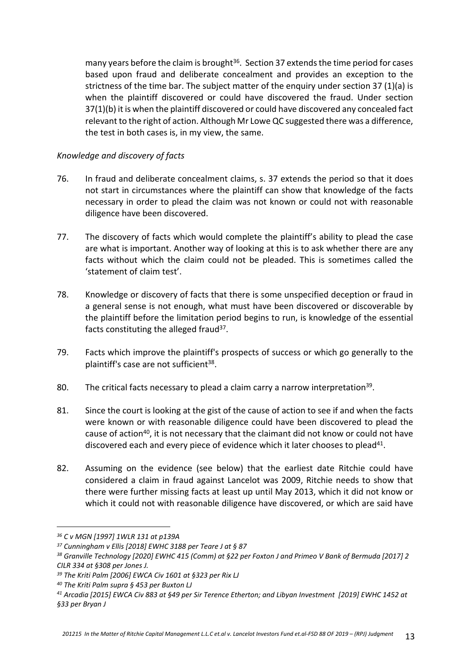many years before the claim is brought $36$ . Section 37 extends the time period for cases based upon fraud and deliberate concealment and provides an exception to the strictness of the time bar. The subject matter of the enquiry under section 37 (1)(a) is when the plaintiff discovered or could have discovered the fraud. Under section 37(1)(b) it is when the plaintiff discovered or could have discovered any concealed fact relevant to the right of action. Although Mr Lowe QC suggested there was a difference, the test in both cases is, in my view, the same.

#### *Knowledge and discovery of facts*

- 76. In fraud and deliberate concealment claims, s. 37 extends the period so that it does not start in circumstances where the plaintiff can show that knowledge of the facts necessary in order to plead the claim was not known or could not with reasonable diligence have been discovered.
- 77. The discovery of facts which would complete the plaintiff's ability to plead the case are what is important. Another way of looking at this is to ask whether there are any facts without which the claim could not be pleaded. This is sometimes called the 'statement of claim test'.
- 78. Knowledge or discovery of facts that there is some unspecified deception or fraud in a general sense is not enough, what must have been discovered or discoverable by the plaintiff before the limitation period begins to run, is knowledge of the essential facts constituting the alleged fraud<sup>37</sup>.
- 79. Facts which improve the plaintiff's prospects of success or which go generally to the plaintiff's case are not sufficient<sup>38</sup>.
- 80. The critical facts necessary to plead a claim carry a narrow interpretation<sup>39</sup>.
- 81. Since the court is looking at the gist of the cause of action to see if and when the facts were known or with reasonable diligence could have been discovered to plead the cause of action<sup>40</sup>, it is not necessary that the claimant did not know or could not have discovered each and every piece of evidence which it later chooses to plead<sup>41</sup>.
- 82. Assuming on the evidence (see below) that the earliest date Ritchie could have considered a claim in fraud against Lancelot was 2009, Ritchie needs to show that there were further missing facts at least up until May 2013, which it did not know or which it could not with reasonable diligence have discovered, or which are said have

*<sup>36</sup> C v MGN [1997] 1WLR 131 at p139A*

*<sup>37</sup> Cunningham v Ellis [2018] EWHC 3188 per Teare J at § 87*

*<sup>38</sup> Granville Technology [2020] EWHC 415 (Comm) at §22 per Foxton J and Primeo V Bank of Bermuda [2017] 2 CILR 334 at §308 per Jones J.*

*<sup>39</sup> The Kriti Palm [2006] EWCA Civ 1601 at §323 per Rix LJ* 

*<sup>40</sup> The Kriti Palm supra § 453 per Buxton LJ*

*<sup>41</sup> Arcadia [2015] EWCA Civ 883 at §49 per Sir Terence Etherton; and Libyan Investment [2019] EWHC 1452 at §33 per Bryan J*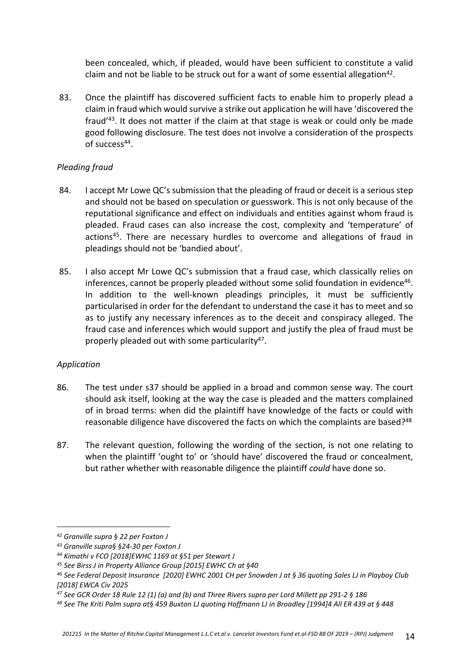been concealed, which, if pleaded, would have been sufficient to constitute a valid claim and not be liable to be struck out for a want of some essential allegation<sup>42</sup>.

83. Once the plaintiff has discovered sufficient facts to enable him to properly plead a claim in fraud which would survive a strike out application he will have 'discovered the fraud'<sup>43</sup>. It does not matter if the claim at that stage is weak or could only be made good following disclosure. The test does not involve a consideration of the prospects of success<sup>44</sup>.

## *Pleading fraud*

- 84. I accept Mr Lowe QC's submission that the pleading of fraud or deceit is a serious step and should not be based on speculation or guesswork. This is not only because of the reputational significance and effect on individuals and entities against whom fraud is pleaded. Fraud cases can also increase the cost, complexity and 'temperature' of actions<sup>45</sup>. There are necessary hurdles to overcome and allegations of fraud in pleadings should not be 'bandied about'.
- 85. I also accept Mr Lowe QC's submission that a fraud case, which classically relies on inferences, cannot be properly pleaded without some solid foundation in evidence<sup>46</sup>. In addition to the well-known pleadings principles, it must be sufficiently particularised in order for the defendant to understand the case it has to meet and so as to justify any necessary inferences as to the deceit and conspiracy alleged. The fraud case and inferences which would support and justify the plea of fraud must be properly pleaded out with some particularity<sup>47</sup>.

#### *Application*

- 86. The test under s37 should be applied in a broad and common sense way. The court should ask itself, looking at the way the case is pleaded and the matters complained of in broad terms: when did the plaintiff have knowledge of the facts or could with reasonable diligence have discovered the facts on which the complaints are based?<sup>48</sup>
- 87. The relevant question, following the wording of the section, is not one relating to when the plaintiff 'ought to' or 'should have' discovered the fraud or concealment, but rather whether with reasonable diligence the plaintiff *could* have done so.

*<sup>42</sup> Granville supra § 22 per Foxton J*

*<sup>43</sup> Granville supra§ §24-30 per Foxton J*

*<sup>44</sup> Kimathi v FCO [2018]EWHC 1169 at §51 per Stewart J*

*<sup>45</sup> See Birss J in Property Alliance Group [2015] EWHC Ch at §40*

*<sup>46</sup> See Federal Deposit Insurance [2020] EWHC 2001 CH per Snowden J at § 36 quoting Sales LJ in Playboy Club [2018] EWCA Civ 2025*

*<sup>47</sup> See GCR Order 18 Rule 12 (1) (a) and (b) and Three Rivers supra per Lord Millett pp 291-2 § 186* 

*<sup>48</sup> See The Kriti Palm supra at§ 459 Buxton LJ quoting Hoffmann LJ in Broadley [1994]4 All ER 439 at § 448*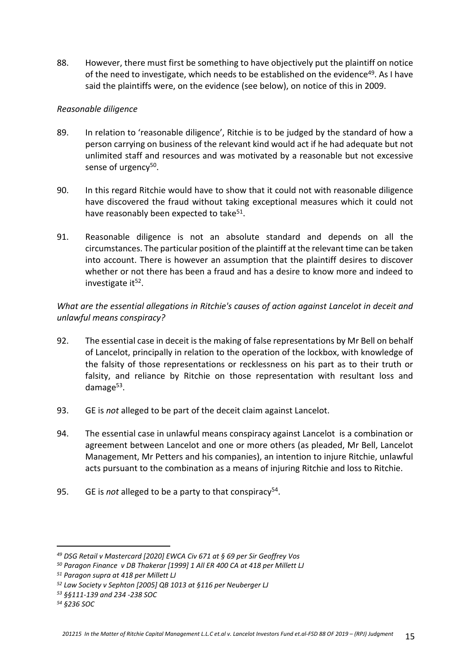88. However, there must first be something to have objectively put the plaintiff on notice of the need to investigate, which needs to be established on the evidence<sup>49</sup>. As I have said the plaintiffs were, on the evidence (see below), on notice of this in 2009.

## *Reasonable diligence*

- 89. In relation to 'reasonable diligence', Ritchie is to be judged by the standard of how a person carrying on business of the relevant kind would act if he had adequate but not unlimited staff and resources and was motivated by a reasonable but not excessive sense of urgency<sup>50</sup>.
- 90. In this regard Ritchie would have to show that it could not with reasonable diligence have discovered the fraud without taking exceptional measures which it could not have reasonably been expected to take<sup>51</sup>.
- 91. Reasonable diligence is not an absolute standard and depends on all the circumstances. The particular position of the plaintiff at the relevant time can be taken into account. There is however an assumption that the plaintiff desires to discover whether or not there has been a fraud and has a desire to know more and indeed to investigate it<sup>52</sup>.

# *What are the essential allegations in Ritchie's causes of action against Lancelot in deceit and unlawful means conspiracy?*

- 92. The essential case in deceit is the making of false representations by Mr Bell on behalf of Lancelot, principally in relation to the operation of the lockbox, with knowledge of the falsity of those representations or recklessness on his part as to their truth or falsity, and reliance by Ritchie on those representation with resultant loss and damage<sup>53</sup>.
- 93. GE is *not* alleged to be part of the deceit claim against Lancelot.
- 94. The essential case in unlawful means conspiracy against Lancelot is a combination or agreement between Lancelot and one or more others (as pleaded, Mr Bell, Lancelot Management, Mr Petters and his companies), an intention to injure Ritchie, unlawful acts pursuant to the combination as a means of injuring Ritchie and loss to Ritchie.
- 95. GE is not alleged to be a party to that conspiracy<sup>54</sup>.

*<sup>49</sup> DSG Retail v Mastercard [2020] EWCA Civ 671 at § 69 per Sir Geoffrey Vos* 

*<sup>50</sup> Paragon Finance v DB Thakerar [1999] 1 All ER 400 CA at 418 per Millett LJ*

*<sup>51</sup> Paragon supra at 418 per Millett LJ*

*<sup>52</sup> Law Society v Sephton [2005] QB 1013 at §116 per Neuberger LJ*

*<sup>53</sup> §§111-139 and 234 -238 SOC*

*<sup>54</sup> §236 SOC*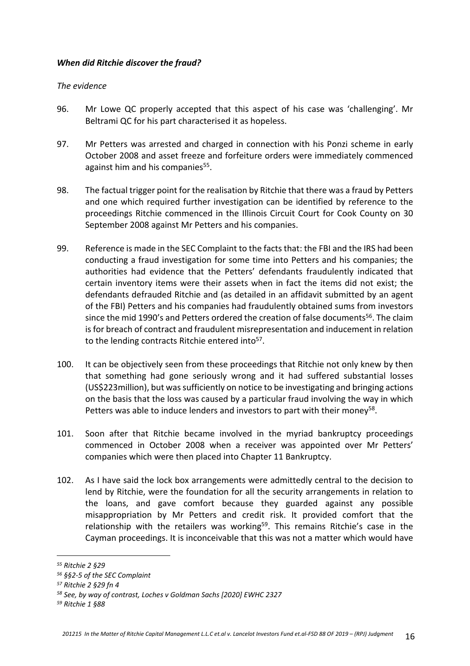#### *When did Ritchie discover the fraud?*

#### *The evidence*

- 96. Mr Lowe QC properly accepted that this aspect of his case was 'challenging'. Mr Beltrami QC for his part characterised it as hopeless.
- 97. Mr Petters was arrested and charged in connection with his Ponzi scheme in early October 2008 and asset freeze and forfeiture orders were immediately commenced against him and his companies<sup>55</sup>.
- 98. The factual trigger point for the realisation by Ritchie that there was a fraud by Petters and one which required further investigation can be identified by reference to the proceedings Ritchie commenced in the Illinois Circuit Court for Cook County on 30 September 2008 against Mr Petters and his companies.
- 99. Reference is made in the SEC Complaint to the facts that: the FBI and the IRS had been conducting a fraud investigation for some time into Petters and his companies; the authorities had evidence that the Petters' defendants fraudulently indicated that certain inventory items were their assets when in fact the items did not exist; the defendants defrauded Ritchie and (as detailed in an affidavit submitted by an agent of the FBI) Petters and his companies had fraudulently obtained sums from investors since the mid 1990's and Petters ordered the creation of false documents<sup>56</sup>. The claim is for breach of contract and fraudulent misrepresentation and inducement in relation to the lending contracts Ritchie entered into<sup>57</sup>.
- 100. It can be objectively seen from these proceedings that Ritchie not only knew by then that something had gone seriously wrong and it had suffered substantial losses (US\$223million), but was sufficiently on notice to be investigating and bringing actions on the basis that the loss was caused by a particular fraud involving the way in which Petters was able to induce lenders and investors to part with their money<sup>58</sup>.
- 101. Soon after that Ritchie became involved in the myriad bankruptcy proceedings commenced in October 2008 when a receiver was appointed over Mr Petters' companies which were then placed into Chapter 11 Bankruptcy.
- 102. As I have said the lock box arrangements were admittedly central to the decision to lend by Ritchie, were the foundation for all the security arrangements in relation to the loans, and gave comfort because they guarded against any possible misappropriation by Mr Petters and credit risk. It provided comfort that the relationship with the retailers was working<sup>59</sup>. This remains Ritchie's case in the Cayman proceedings. It is inconceivable that this was not a matter which would have

*<sup>55</sup> Ritchie 2 §29*

*<sup>56</sup> §§2-5 of the SEC Complaint*

*<sup>57</sup> Ritchie 2 §29 fn 4* 

*<sup>58</sup> See, by way of contrast, Loches v Goldman Sachs [2020] EWHC 2327*

*<sup>59</sup> Ritchie 1 §88*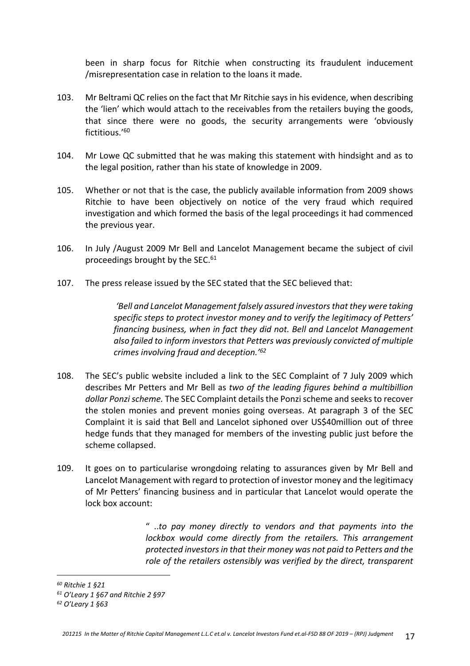been in sharp focus for Ritchie when constructing its fraudulent inducement /misrepresentation case in relation to the loans it made.

- 103. Mr Beltrami QC relies on the fact that Mr Ritchie says in his evidence, when describing the 'lien' which would attach to the receivables from the retailers buying the goods, that since there were no goods, the security arrangements were 'obviously fictitious.'<sup>60</sup>
- 104. Mr Lowe QC submitted that he was making this statement with hindsight and as to the legal position, rather than his state of knowledge in 2009.
- 105. Whether or not that is the case, the publicly available information from 2009 shows Ritchie to have been objectively on notice of the very fraud which required investigation and which formed the basis of the legal proceedings it had commenced the previous year.
- 106. In July /August 2009 Mr Bell and Lancelot Management became the subject of civil proceedings brought by the SEC.<sup>61</sup>
- 107. The press release issued by the SEC stated that the SEC believed that:

*'Bell and Lancelot Management falsely assured investors that they were taking specific steps to protect investor money and to verify the legitimacy of Petters' financing business, when in fact they did not. Bell and Lancelot Management also failed to inform investors that Petters was previously convicted of multiple crimes involving fraud and deception.'<sup>62</sup>*

- 108. The SEC's public website included a link to the SEC Complaint of 7 July 2009 which describes Mr Petters and Mr Bell as *two of the leading figures behind a multibillion dollar Ponzi scheme.* The SEC Complaint details the Ponzi scheme and seeks to recover the stolen monies and prevent monies going overseas. At paragraph 3 of the SEC Complaint it is said that Bell and Lancelot siphoned over US\$40million out of three hedge funds that they managed for members of the investing public just before the scheme collapsed.
- 109. It goes on to particularise wrongdoing relating to assurances given by Mr Bell and Lancelot Management with regard to protection of investor money and the legitimacy of Mr Petters' financing business and in particular that Lancelot would operate the lock box account:

" ..*to pay money directly to vendors and that payments into the lockbox would come directly from the retailers. This arrangement protected investors in that their money was not paid to Petters and the role of the retailers ostensibly was verified by the direct, transparent* 

*<sup>60</sup> Ritchie 1 §21*

*<sup>61</sup> O'Leary 1 §67 and Ritchie 2 §97*

*<sup>62</sup> O'Leary 1 §63*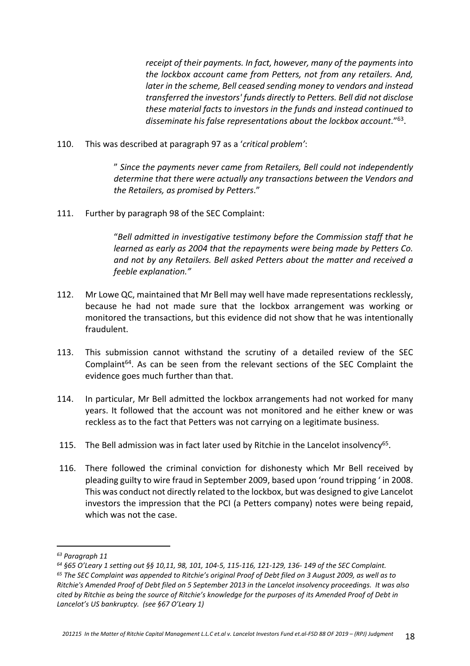*receipt of their payments. In fact, however, many of the payments into the lockbox account came from Petters, not from any retailers. And, later in the scheme, Bell ceased sending money to vendors and instead transferred the investors' funds directly to Petters. Bell did not disclose these material facts to investors in the funds and instead continued to disseminate his false representations about the lockbox account*."<sup>63</sup> .

110. This was described at paragraph 97 as a '*critical problem'*:

" *Since the payments never came from Retailers, Bell could not independently determine that there were actually any transactions between the Vendors and the Retailers, as promised by Petters*."

111. Further by paragraph 98 of the SEC Complaint:

"*Bell admitted in investigative testimony before the Commission staff that he learned as early as 2004 that the repayments were being made by Petters Co. and not by any Retailers. Bell asked Petters about the matter and received a feeble explanation."*

- 112. Mr Lowe QC, maintained that Mr Bell may well have made representations recklessly, because he had not made sure that the lockbox arrangement was working or monitored the transactions, but this evidence did not show that he was intentionally fraudulent.
- 113. This submission cannot withstand the scrutiny of a detailed review of the SEC Complaint<sup>64</sup>. As can be seen from the relevant sections of the SEC Complaint the evidence goes much further than that.
- 114. In particular, Mr Bell admitted the lockbox arrangements had not worked for many years. It followed that the account was not monitored and he either knew or was reckless as to the fact that Petters was not carrying on a legitimate business.
- 115. The Bell admission was in fact later used by Ritchie in the Lancelot insolvency<sup>65</sup>.
- 116. There followed the criminal conviction for dishonesty which Mr Bell received by pleading guilty to wire fraud in September 2009, based upon 'round tripping ' in 2008. This was conduct not directly related to the lockbox, but was designed to give Lancelot investors the impression that the PCI (a Petters company) notes were being repaid, which was not the case.

*<sup>63</sup> Paragraph 11*

*<sup>64</sup> §65 O'Leary 1 setting out §§ 10,11, 98, 101, 104-5, 115-116, 121-129, 136- 149 of the SEC Complaint.*

*<sup>65</sup> The SEC Complaint was appended to Ritchie's original Proof of Debt filed on 3 August 2009, as well as to Ritchie's Amended Proof of Debt filed on 5 September 2013 in the Lancelot insolvency proceedings. It was also cited by Ritchie as being the source of Ritchie's knowledge for the purposes of its Amended Proof of Debt in Lancelot's US bankruptcy. (see §67 O'Leary 1)*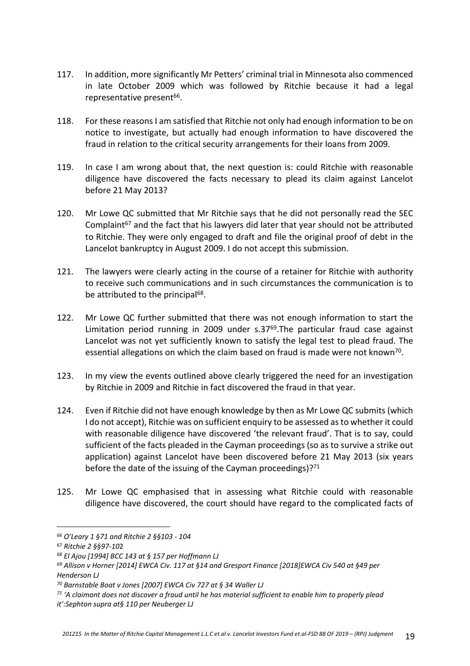- 117. In addition, more significantly Mr Petters' criminal trial in Minnesota also commenced in late October 2009 which was followed by Ritchie because it had a legal representative present<sup>66</sup>.
- 118. For these reasons I am satisfied that Ritchie not only had enough information to be on notice to investigate, but actually had enough information to have discovered the fraud in relation to the critical security arrangements for their loans from 2009.
- 119. In case I am wrong about that, the next question is: could Ritchie with reasonable diligence have discovered the facts necessary to plead its claim against Lancelot before 21 May 2013?
- 120. Mr Lowe QC submitted that Mr Ritchie says that he did not personally read the SEC Complaint $67$  and the fact that his lawyers did later that year should not be attributed to Ritchie. They were only engaged to draft and file the original proof of debt in the Lancelot bankruptcy in August 2009. I do not accept this submission.
- 121. The lawyers were clearly acting in the course of a retainer for Ritchie with authority to receive such communications and in such circumstances the communication is to be attributed to the principal<sup>68</sup>.
- 122. Mr Lowe QC further submitted that there was not enough information to start the Limitation period running in 2009 under s.37<sup>69</sup>.The particular fraud case against Lancelot was not yet sufficiently known to satisfy the legal test to plead fraud. The essential allegations on which the claim based on fraud is made were not known<sup>70</sup>.
- 123. In my view the events outlined above clearly triggered the need for an investigation by Ritchie in 2009 and Ritchie in fact discovered the fraud in that year.
- 124. Even if Ritchie did not have enough knowledge by then as Mr Lowe QC submits (which I do not accept), Ritchie was on sufficient enquiry to be assessed as to whether it could with reasonable diligence have discovered 'the relevant fraud'. That is to say, could sufficient of the facts pleaded in the Cayman proceedings (so as to survive a strike out application) against Lancelot have been discovered before 21 May 2013 (six years before the date of the issuing of the Cayman proceedings)? $71$
- 125. Mr Lowe QC emphasised that in assessing what Ritchie could with reasonable diligence have discovered, the court should have regard to the complicated facts of

*<sup>66</sup> O'Leary 1 §71 and Ritchie 2 §§103 - 104*

*<sup>67</sup> Ritchie 2 §§97-10*2

*<sup>68</sup> El Ajou [1994] BCC 143 at § 157 per Hoffmann LJ*

*<sup>69</sup> Allison v Horner [2014] EWCA Civ. 117 at §14 and Gresport Finance [2018]EWCA Civ 540 at §49 per Henderson LJ*

*<sup>70</sup> Barnstable Boat v Jones [2007] EWCA Civ 727 at § 34 Waller LJ*

*<sup>71</sup> 'A claimant does not discover a fraud until he has material sufficient to enable him to properly plead* 

*it':Sephton supra at§ 110 per Neuberger LJ*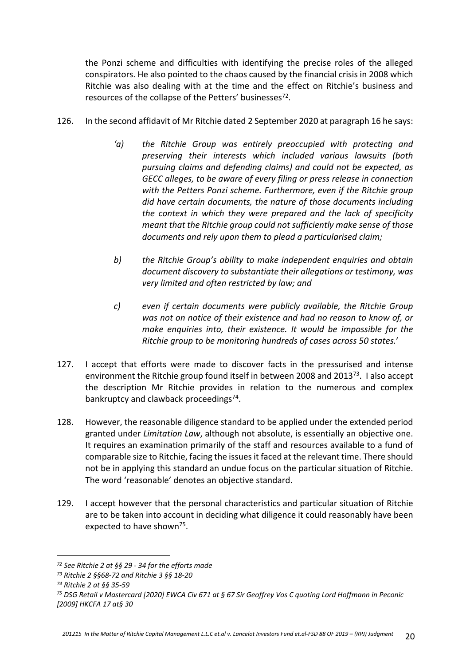the Ponzi scheme and difficulties with identifying the precise roles of the alleged conspirators. He also pointed to the chaos caused by the financial crisis in 2008 which Ritchie was also dealing with at the time and the effect on Ritchie's business and resources of the collapse of the Petters' businesses<sup>72</sup>.

- 126. In the second affidavit of Mr Ritchie dated 2 September 2020 at paragraph 16 he says:
	- *'a) the Ritchie Group was entirely preoccupied with protecting and preserving their interests which included various lawsuits (both pursuing claims and defending claims) and could not be expected, as GECC alleges, to be aware of every filing or press release in connection with the Petters Ponzi scheme. Furthermore, even if the Ritchie group did have certain documents, the nature of those documents including the context in which they were prepared and the lack of specificity meant that the Ritchie group could not sufficiently make sense of those documents and rely upon them to plead a particularised claim;*
	- *b) the Ritchie Group's ability to make independent enquiries and obtain document discovery to substantiate their allegations or testimony, was very limited and often restricted by law; and*
	- *c) even if certain documents were publicly available, the Ritchie Group was not on notice of their existence and had no reason to know of, or make enquiries into, their existence. It would be impossible for the Ritchie group to be monitoring hundreds of cases across 50 states.*'
- 127. I accept that efforts were made to discover facts in the pressurised and intense environment the Ritchie group found itself in between 2008 and 2013<sup>73</sup>. I also accept the description Mr Ritchie provides in relation to the numerous and complex bankruptcy and clawback proceedings<sup>74</sup>.
- 128. However, the reasonable diligence standard to be applied under the extended period granted under *Limitation Law*, although not absolute, is essentially an objective one. It requires an examination primarily of the staff and resources available to a fund of comparable size to Ritchie, facing the issues it faced at the relevant time. There should not be in applying this standard an undue focus on the particular situation of Ritchie. The word 'reasonable' denotes an objective standard.
- 129. I accept however that the personal characteristics and particular situation of Ritchie are to be taken into account in deciding what diligence it could reasonably have been expected to have shown<sup>75</sup>.

*<sup>72</sup> See Ritchie 2 at §§ 29 - 34 for the efforts made*

*<sup>73</sup> Ritchie 2 §§68-72 and Ritchie 3 §§ 18-20*

*<sup>74</sup> Ritchie 2 at §§ 35-59*

*<sup>75</sup> DSG Retail v Mastercard [2020] EWCA Civ 671 at § 67 Sir Geoffrey Vos C quoting Lord Hoffmann in Peconic [2009] HKCFA 17 at§ 30*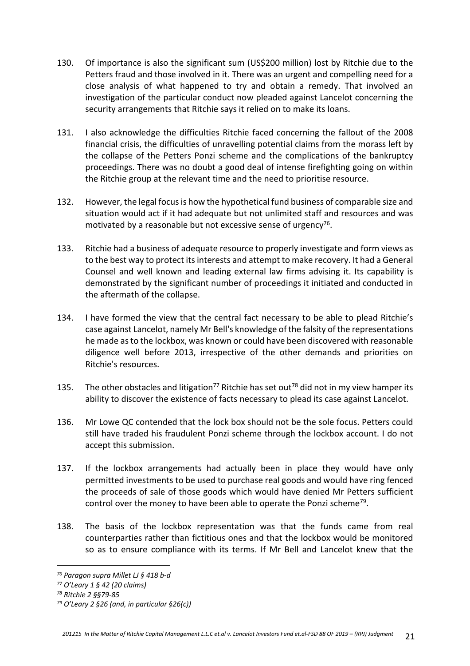- 130. Of importance is also the significant sum (US\$200 million) lost by Ritchie due to the Petters fraud and those involved in it. There was an urgent and compelling need for a close analysis of what happened to try and obtain a remedy. That involved an investigation of the particular conduct now pleaded against Lancelot concerning the security arrangements that Ritchie says it relied on to make its loans.
- 131. I also acknowledge the difficulties Ritchie faced concerning the fallout of the 2008 financial crisis, the difficulties of unravelling potential claims from the morass left by the collapse of the Petters Ponzi scheme and the complications of the bankruptcy proceedings. There was no doubt a good deal of intense firefighting going on within the Ritchie group at the relevant time and the need to prioritise resource.
- 132. However, the legal focus is how the hypothetical fund business of comparable size and situation would act if it had adequate but not unlimited staff and resources and was motivated by a reasonable but not excessive sense of urgency<sup>76</sup>.
- 133. Ritchie had a business of adequate resource to properly investigate and form views as to the best way to protect its interests and attempt to make recovery. It had a General Counsel and well known and leading external law firms advising it. Its capability is demonstrated by the significant number of proceedings it initiated and conducted in the aftermath of the collapse.
- 134. I have formed the view that the central fact necessary to be able to plead Ritchie's case against Lancelot, namely Mr Bell's knowledge of the falsity of the representations he made as to the lockbox, was known or could have been discovered with reasonable diligence well before 2013, irrespective of the other demands and priorities on Ritchie's resources.
- 135. The other obstacles and litigation<sup>77</sup> Ritchie has set out<sup>78</sup> did not in my view hamper its ability to discover the existence of facts necessary to plead its case against Lancelot.
- 136. Mr Lowe QC contended that the lock box should not be the sole focus. Petters could still have traded his fraudulent Ponzi scheme through the lockbox account. I do not accept this submission.
- 137. If the lockbox arrangements had actually been in place they would have only permitted investments to be used to purchase real goods and would have ring fenced the proceeds of sale of those goods which would have denied Mr Petters sufficient control over the money to have been able to operate the Ponzi scheme<sup>79</sup>.
- 138. The basis of the lockbox representation was that the funds came from real counterparties rather than fictitious ones and that the lockbox would be monitored so as to ensure compliance with its terms. If Mr Bell and Lancelot knew that the

*<sup>76</sup> Paragon supra Millet LJ § 418 b-d*

*<sup>77</sup> O'Leary 1 § 42 (20 claims)*

*<sup>78</sup> Ritchie 2 §§79-85*

*<sup>79</sup> O'Leary 2 §26 (and, in particular §26(c))*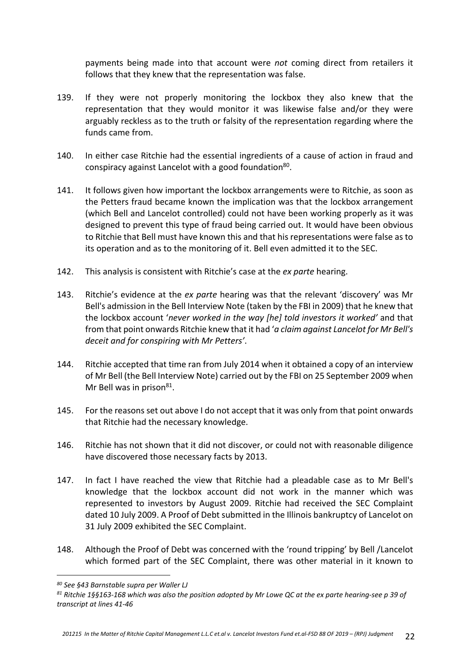payments being made into that account were *not* coming direct from retailers it follows that they knew that the representation was false.

- 139. If they were not properly monitoring the lockbox they also knew that the representation that they would monitor it was likewise false and/or they were arguably reckless as to the truth or falsity of the representation regarding where the funds came from.
- 140. In either case Ritchie had the essential ingredients of a cause of action in fraud and conspiracy against Lancelot with a good foundation<sup>80</sup>.
- 141. It follows given how important the lockbox arrangements were to Ritchie, as soon as the Petters fraud became known the implication was that the lockbox arrangement (which Bell and Lancelot controlled) could not have been working properly as it was designed to prevent this type of fraud being carried out. It would have been obvious to Ritchie that Bell must have known this and that his representations were false as to its operation and as to the monitoring of it. Bell even admitted it to the SEC.
- 142. This analysis is consistent with Ritchie's case at the *ex parte* hearing.
- 143. Ritchie's evidence at the *ex parte* hearing was that the relevant 'discovery' was Mr Bell's admission in the Bell Interview Note (taken by the FBI in 2009) that he knew that the lockbox account '*never worked in the way [he] told investors it worked'* and that from that point onwards Ritchie knew that it had '*a claim against Lancelot for Mr Bell's deceit and for conspiring with Mr Petters'*.
- 144. Ritchie accepted that time ran from July 2014 when it obtained a copy of an interview of Mr Bell (the Bell Interview Note) carried out by the FBI on 25 September 2009 when Mr Bell was in prison<sup>81</sup>.
- 145. For the reasons set out above I do not accept that it was only from that point onwards that Ritchie had the necessary knowledge.
- 146. Ritchie has not shown that it did not discover, or could not with reasonable diligence have discovered those necessary facts by 2013.
- 147. In fact I have reached the view that Ritchie had a pleadable case as to Mr Bell's knowledge that the lockbox account did not work in the manner which was represented to investors by August 2009. Ritchie had received the SEC Complaint dated 10 July 2009. A Proof of Debt submitted in the Illinois bankruptcy of Lancelot on 31 July 2009 exhibited the SEC Complaint.
- 148. Although the Proof of Debt was concerned with the 'round tripping' by Bell /Lancelot which formed part of the SEC Complaint, there was other material in it known to

*<sup>80</sup> See §43 Barnstable supra per Waller LJ*

*<sup>81</sup> Ritchie 1§§163-168 which was also the position adopted by Mr Lowe QC at the ex parte hearing-see p 39 of transcript at lines 41-46*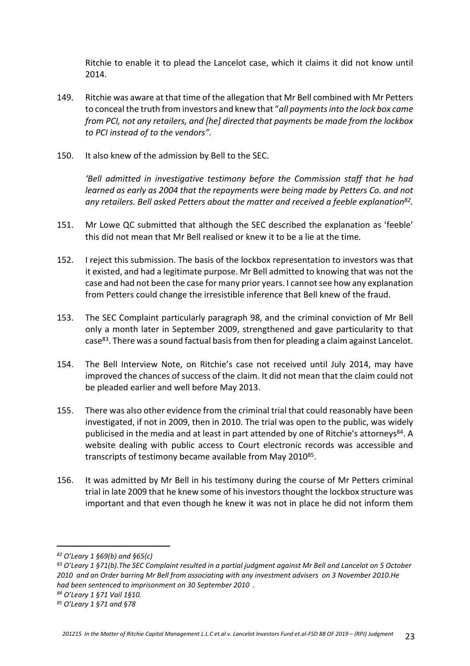Ritchie to enable it to plead the Lancelot case, which it claims it did not know until 2014.

- 149. Ritchie was aware at that time of the allegation that Mr Bell combined with Mr Petters to conceal the truth from investors and knew that "*all payments into the lock box came from PCI, not any retailers, and [he] directed that payments be made from the lockbox to PCI instead of to the vendors".*
- 150. It also knew of the admission by Bell to the SEC.

*'Bell admitted in investigative testimony before the Commission staff that he had learned as early as 2004 that the repayments were being made by Petters Co. and not any retailers. Bell asked Petters about the matter and received a feeble explanation<sup>82</sup> .* 

- 151. Mr Lowe QC submitted that although the SEC described the explanation as 'feeble' this did not mean that Mr Bell realised or knew it to be a lie at the time*.*
- 152. I reject this submission. The basis of the lockbox representation to investors was that it existed, and had a legitimate purpose. Mr Bell admitted to knowing that was not the case and had not been the case for many prior years. I cannot see how any explanation from Petters could change the irresistible inference that Bell knew of the fraud.
- 153. The SEC Complaint particularly paragraph 98, and the criminal conviction of Mr Bell only a month later in September 2009, strengthened and gave particularity to that case<sup>83</sup>. There was a sound factual basis from then for pleading a claim against Lancelot.
- 154. The Bell Interview Note, on Ritchie's case not received until July 2014, may have improved the chances of success of the claim. It did not mean that the claim could not be pleaded earlier and well before May 2013.
- 155. There was also other evidence from the criminal trial that could reasonably have been investigated, if not in 2009, then in 2010. The trial was open to the public, was widely publicised in the media and at least in part attended by one of Ritchie's attorneys<sup>84</sup>. A website dealing with public access to Court electronic records was accessible and transcripts of testimony became available from May 2010<sup>85</sup>.
- 156. It was admitted by Mr Bell in his testimony during the course of Mr Petters criminal trial in late 2009 that he knew some of his investors thought the lockbox structure was important and that even though he knew it was not in place he did not inform them

- *<sup>83</sup> O'Leary 1 §71(b).The SEC Complaint resulted in a partial judgment against Mr Bell and Lancelot on 5 October 2010 and an Order barring Mr Bell from associating with any investment advisers on 3 November 2010.He had been sentenced to imprisonment on 30 September 2010 .*
- *<sup>84</sup> O'Leary 1 §71 Vail 1§10.*

*<sup>82</sup> O'Leary 1 §69(b) and §65(c)*

*<sup>85</sup> O'Leary 1 §71 and §78*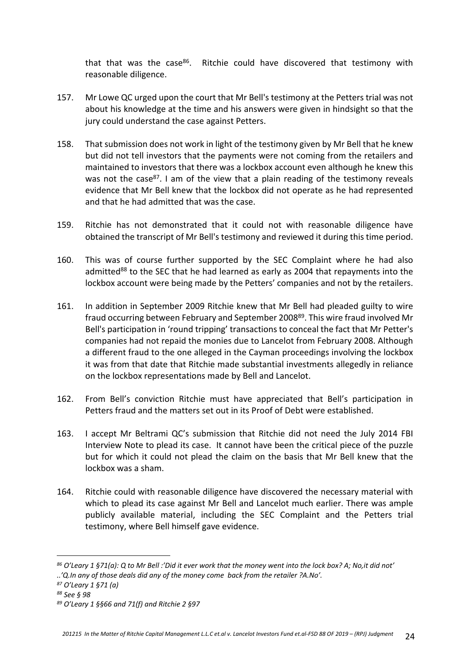that that was the case<sup>86</sup>. Ritchie could have discovered that testimony with reasonable diligence.

- 157. Mr Lowe QC urged upon the court that Mr Bell's testimony at the Petters trial was not about his knowledge at the time and his answers were given in hindsight so that the jury could understand the case against Petters.
- 158. That submission does not work in light of the testimony given by Mr Bell that he knew but did not tell investors that the payments were not coming from the retailers and maintained to investors that there was a lockbox account even although he knew this was not the case<sup>87</sup>. I am of the view that a plain reading of the testimony reveals evidence that Mr Bell knew that the lockbox did not operate as he had represented and that he had admitted that was the case.
- 159. Ritchie has not demonstrated that it could not with reasonable diligence have obtained the transcript of Mr Bell's testimony and reviewed it during this time period.
- 160. This was of course further supported by the SEC Complaint where he had also admitted<sup>88</sup> to the SEC that he had learned as early as 2004 that repayments into the lockbox account were being made by the Petters' companies and not by the retailers.
- 161. In addition in September 2009 Ritchie knew that Mr Bell had pleaded guilty to wire fraud occurring between February and September 2008<sup>89</sup>. This wire fraud involved Mr Bell's participation in 'round tripping' transactions to conceal the fact that Mr Petter's companies had not repaid the monies due to Lancelot from February 2008. Although a different fraud to the one alleged in the Cayman proceedings involving the lockbox it was from that date that Ritchie made substantial investments allegedly in reliance on the lockbox representations made by Bell and Lancelot.
- 162. From Bell's conviction Ritchie must have appreciated that Bell's participation in Petters fraud and the matters set out in its Proof of Debt were established.
- 163. I accept Mr Beltrami QC's submission that Ritchie did not need the July 2014 FBI Interview Note to plead its case. It cannot have been the critical piece of the puzzle but for which it could not plead the claim on the basis that Mr Bell knew that the lockbox was a sham.
- 164. Ritchie could with reasonable diligence have discovered the necessary material with which to plead its case against Mr Bell and Lancelot much earlier. There was ample publicly available material, including the SEC Complaint and the Petters trial testimony, where Bell himself gave evidence.

*<sup>86</sup> O'Leary 1 §71(a): Q to Mr Bell :'Did it ever work that the money went into the lock box? A; No,it did not'* 

*<sup>..&#</sup>x27;Q.In any of those deals did any of the money come back from the retailer ?A.No'.*

*<sup>87</sup> O'Leary 1 §71 (a)*

*<sup>88</sup> See § 98*

*<sup>89</sup> O'Leary 1 §§66 and 71(f) and Ritchie 2 §97*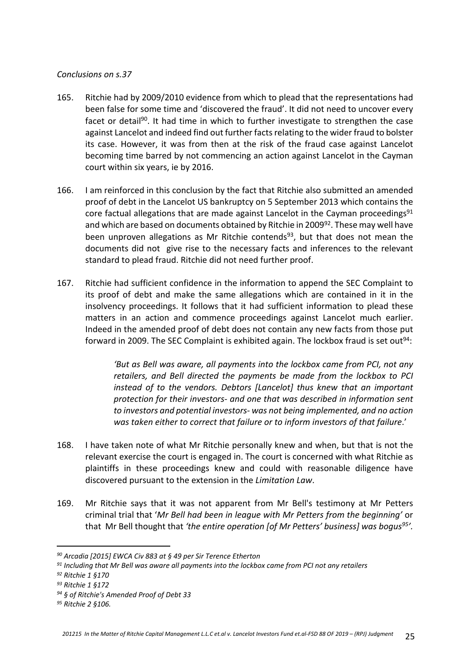## *Conclusions on s.37*

- 165. Ritchie had by 2009/2010 evidence from which to plead that the representations had been false for some time and 'discovered the fraud'. It did not need to uncover every facet or detail<sup>90</sup>. It had time in which to further investigate to strengthen the case against Lancelot and indeed find out further facts relating to the wider fraud to bolster its case. However, it was from then at the risk of the fraud case against Lancelot becoming time barred by not commencing an action against Lancelot in the Cayman court within six years, ie by 2016.
- 166. I am reinforced in this conclusion by the fact that Ritchie also submitted an amended proof of debt in the Lancelot US bankruptcy on 5 September 2013 which contains the core factual allegations that are made against Lancelot in the Cayman proceedings<sup>91</sup> and which are based on documents obtained by Ritchie in 2009<sup>92</sup>. These may well have been unproven allegations as Mr Ritchie contends<sup>93</sup>, but that does not mean the documents did not give rise to the necessary facts and inferences to the relevant standard to plead fraud. Ritchie did not need further proof.
- 167. Ritchie had sufficient confidence in the information to append the SEC Complaint to its proof of debt and make the same allegations which are contained in it in the insolvency proceedings. It follows that it had sufficient information to plead these matters in an action and commence proceedings against Lancelot much earlier. Indeed in the amended proof of debt does not contain any new facts from those put forward in 2009. The SEC Complaint is exhibited again. The lockbox fraud is set out<sup>94</sup>:

*'But as Bell was aware, all payments into the lockbox came from PCI, not any retailers, and Bell directed the payments be made from the lockbox to PCI instead of to the vendors. Debtors [Lancelot] thus knew that an important protection for their investors- and one that was described in information sent to investors and potential investors- was not being implemented, and no action was taken either to correct that failure or to inform investors of that failure*.'

- 168. I have taken note of what Mr Ritchie personally knew and when, but that is not the relevant exercise the court is engaged in. The court is concerned with what Ritchie as plaintiffs in these proceedings knew and could with reasonable diligence have discovered pursuant to the extension in the *Limitation Law*.
- 169. Mr Ritchie says that it was not apparent from Mr Bell's testimony at Mr Petters criminal trial that '*Mr Bell had been in league with Mr Petters from the beginning'* or that Mr Bell thought that *'the entire operation [of Mr Petters' business] was bogus<sup>95</sup>'.*

*<sup>90</sup> Arcadia [2015] EWCA Civ 883 at § 49 per Sir Terence Etherton* 

*<sup>91</sup> Including that Mr Bell was aware all payments into the lockbox came from PCI not any retailers*

*<sup>92</sup> Ritchie 1 §170*

*<sup>93</sup> Ritchie 1 §172*

*<sup>94</sup> § of Ritchie's Amended Proof of Debt 33*

*<sup>95</sup> Ritchie 2 §106.*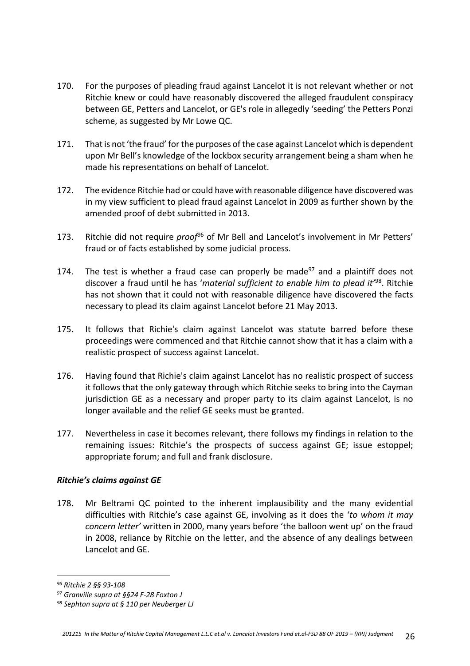- 170. For the purposes of pleading fraud against Lancelot it is not relevant whether or not Ritchie knew or could have reasonably discovered the alleged fraudulent conspiracy between GE, Petters and Lancelot, or GE's role in allegedly 'seeding' the Petters Ponzi scheme, as suggested by Mr Lowe QC.
- 171. That is not 'the fraud' for the purposes of the case against Lancelot which is dependent upon Mr Bell's knowledge of the lockbox security arrangement being a sham when he made his representations on behalf of Lancelot.
- 172. The evidence Ritchie had or could have with reasonable diligence have discovered was in my view sufficient to plead fraud against Lancelot in 2009 as further shown by the amended proof of debt submitted in 2013.
- 173. Ritchie did not require *proof*<sup>96</sup> of Mr Bell and Lancelot's involvement in Mr Petters' fraud or of facts established by some judicial process.
- 174. The test is whether a fraud case can properly be made $97$  and a plaintiff does not discover a fraud until he has '*material sufficient to enable him to plead it'*<sup>98</sup>. Ritchie has not shown that it could not with reasonable diligence have discovered the facts necessary to plead its claim against Lancelot before 21 May 2013.
- 175. It follows that Richie's claim against Lancelot was statute barred before these proceedings were commenced and that Ritchie cannot show that it has a claim with a realistic prospect of success against Lancelot.
- 176. Having found that Richie's claim against Lancelot has no realistic prospect of success it follows that the only gateway through which Ritchie seeks to bring into the Cayman jurisdiction GE as a necessary and proper party to its claim against Lancelot, is no longer available and the relief GE seeks must be granted.
- 177. Nevertheless in case it becomes relevant, there follows my findings in relation to the remaining issues: Ritchie's the prospects of success against GE; issue estoppel; appropriate forum; and full and frank disclosure.

# *Ritchie's claims against GE*

178. Mr Beltrami QC pointed to the inherent implausibility and the many evidential difficulties with Ritchie's case against GE, involving as it does the '*to whom it may concern letter'* written in 2000, many years before 'the balloon went up' on the fraud in 2008, reliance by Ritchie on the letter, and the absence of any dealings between Lancelot and GE.

*<sup>96</sup> Ritchie 2 §§ 93-108*

*<sup>97</sup> Granville supra at §§24 F-28 Foxton J*

*<sup>98</sup> Sephton supra at § 110 per Neuberger LJ*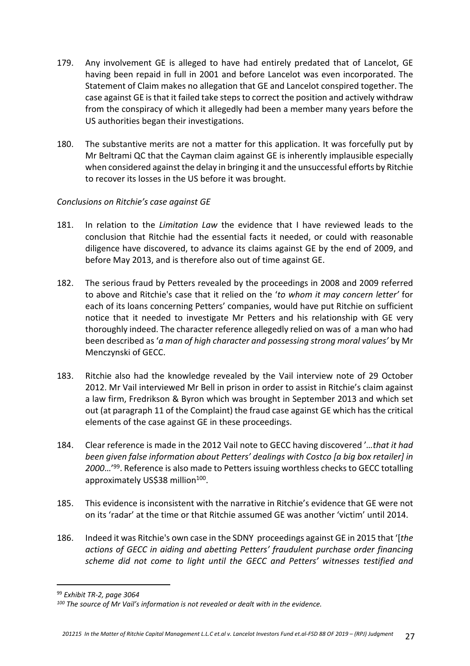- 179. Any involvement GE is alleged to have had entirely predated that of Lancelot, GE having been repaid in full in 2001 and before Lancelot was even incorporated. The Statement of Claim makes no allegation that GE and Lancelot conspired together. The case against GE is that it failed take steps to correct the position and actively withdraw from the conspiracy of which it allegedly had been a member many years before the US authorities began their investigations.
- 180. The substantive merits are not a matter for this application. It was forcefully put by Mr Beltrami QC that the Cayman claim against GE is inherently implausible especially when considered against the delay in bringing it and the unsuccessful efforts by Ritchie to recover its losses in the US before it was brought.

# *Conclusions on Ritchie's case against GE*

- 181. In relation to the *Limitation Law* the evidence that I have reviewed leads to the conclusion that Ritchie had the essential facts it needed, or could with reasonable diligence have discovered, to advance its claims against GE by the end of 2009, and before May 2013, and is therefore also out of time against GE.
- 182. The serious fraud by Petters revealed by the proceedings in 2008 and 2009 referred to above and Ritchie's case that it relied on the '*to whom it may concern letter'* for each of its loans concerning Petters' companies, would have put Ritchie on sufficient notice that it needed to investigate Mr Petters and his relationship with GE very thoroughly indeed. The character reference allegedly relied on was of a man who had been described as '*a man of high character and possessing strong moral values'* by Mr Menczynski of GECC.
- 183. Ritchie also had the knowledge revealed by the Vail interview note of 29 October 2012. Mr Vail interviewed Mr Bell in prison in order to assist in Ritchie's claim against a law firm, Fredrikson & Byron which was brought in September 2013 and which set out (at paragraph 11 of the Complaint) the fraud case against GE which has the critical elements of the case against GE in these proceedings.
- 184. Clear reference is made in the 2012 Vail note to GECC having discovered '*…that it had been given false information about Petters' dealings with Costco [a big box retailer] in 2000*…'<sup>99</sup>. Reference is also made to Petters issuing worthless checks to GECC totalling approximately US\$38 million<sup>100</sup>.
- 185. This evidence is inconsistent with the narrative in Ritchie's evidence that GE were not on its 'radar' at the time or that Ritchie assumed GE was another 'victim' until 2014.
- 186. Indeed it was Ritchie's own case in the SDNY proceedings against GE in 2015 that '[*the actions of GECC in aiding and abetting Petters' fraudulent purchase order financing scheme did not come to light until the GECC and Petters' witnesses testified and*

<sup>99</sup> *Exhibit TR-2, page 3064*

*<sup>100</sup> The source of Mr Vail's information is not revealed or dealt with in the evidence.*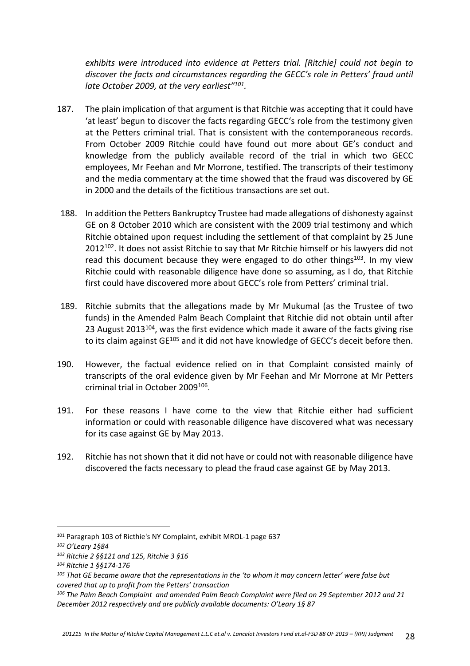*exhibits were introduced into evidence at Petters trial. [Ritchie] could not begin to discover the facts and circumstances regarding the GECC's role in Petters' fraud until late October 2009, at the very earliest"<sup>101</sup> .*

- 187. The plain implication of that argument is that Ritchie was accepting that it could have 'at least' begun to discover the facts regarding GECC's role from the testimony given at the Petters criminal trial. That is consistent with the contemporaneous records. From October 2009 Ritchie could have found out more about GE's conduct and knowledge from the publicly available record of the trial in which two GECC employees, Mr Feehan and Mr Morrone, testified. The transcripts of their testimony and the media commentary at the time showed that the fraud was discovered by GE in 2000 and the details of the fictitious transactions are set out.
- 188. In addition the Petters Bankruptcy Trustee had made allegations of dishonesty against GE on 8 October 2010 which are consistent with the 2009 trial testimony and which Ritchie obtained upon request including the settlement of that complaint by 25 June  $2012^{102}$ . It does not assist Ritchie to say that Mr Ritchie himself or his lawyers did not read this document because they were engaged to do other things<sup>103</sup>. In my view Ritchie could with reasonable diligence have done so assuming, as I do, that Ritchie first could have discovered more about GECC's role from Petters' criminal trial.
- 189. Ritchie submits that the allegations made by Mr Mukumal (as the Trustee of two funds) in the Amended Palm Beach Complaint that Ritchie did not obtain until after 23 August  $2013^{104}$ , was the first evidence which made it aware of the facts giving rise to its claim against GE<sup>105</sup> and it did not have knowledge of GECC's deceit before then.
- 190. However, the factual evidence relied on in that Complaint consisted mainly of transcripts of the oral evidence given by Mr Feehan and Mr Morrone at Mr Petters criminal trial in October 2009<sup>106</sup>.
- 191. For these reasons I have come to the view that Ritchie either had sufficient information or could with reasonable diligence have discovered what was necessary for its case against GE by May 2013.
- 192. Ritchie has not shown that it did not have or could not with reasonable diligence have discovered the facts necessary to plead the fraud case against GE by May 2013.

<sup>101</sup> Paragraph 103 of Ricthie's NY Complaint, exhibit MROL-1 page 637

*<sup>102</sup> O'Leary 1§84*

*<sup>103</sup> Ritchie 2 §§121 and 125, Ritchie 3 §16*

*<sup>104</sup> Ritchie 1 §§174-176*

*<sup>105</sup> That GE became aware that the representations in the 'to whom it may concern letter' were false but covered that up to profit from the Petters' transaction*

*<sup>106</sup> The Palm Beach Complaint and amended Palm Beach Complaint were filed on 29 September 2012 and 21 December 2012 respectively and are publicly available documents: O'Leary 1§ 87*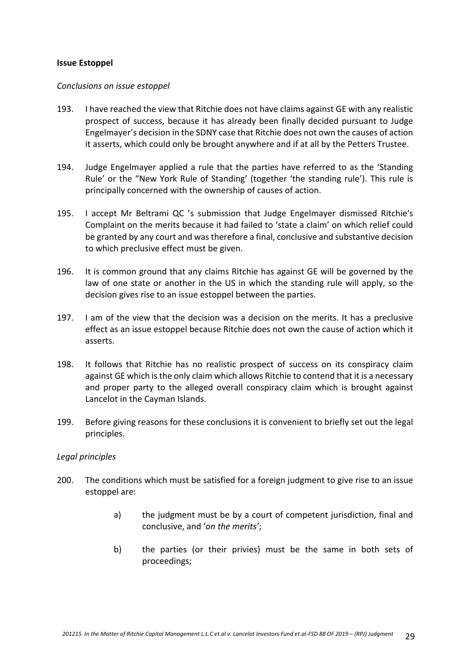#### **Issue Estoppel**

#### *Conclusions on issue estoppel*

- 193. I have reached the view that Ritchie does not have claims against GE with any realistic prospect of success, because it has already been finally decided pursuant to Judge Engelmayer's decision in the SDNY case that Ritchie does not own the causes of action it asserts, which could only be brought anywhere and if at all by the Petters Trustee.
- 194. Judge Engelmayer applied a rule that the parties have referred to as the 'Standing Rule' or the "New York Rule of Standing' (together 'the standing rule'). This rule is principally concerned with the ownership of causes of action.
- 195. I accept Mr Beltrami QC 's submission that Judge Engelmayer dismissed Ritchie's Complaint on the merits because it had failed to 'state a claim' on which relief could be granted by any court and was therefore a final, conclusive and substantive decision to which preclusive effect must be given.
- 196. It is common ground that any claims Ritchie has against GE will be governed by the law of one state or another in the US in which the standing rule will apply, so the decision gives rise to an issue estoppel between the parties.
- 197. I am of the view that the decision was a decision on the merits. It has a preclusive effect as an issue estoppel because Ritchie does not own the cause of action which it asserts.
- 198. It follows that Ritchie has no realistic prospect of success on its conspiracy claim against GE which is the only claim which allows Ritchie to contend that it is a necessary and proper party to the alleged overall conspiracy claim which is brought against Lancelot in the Cayman Islands.
- 199. Before giving reasons for these conclusions it is convenient to briefly set out the legal principles.

#### *Legal principles*

- 200. The conditions which must be satisfied for a foreign judgment to give rise to an issue estoppel are:
	- a) the judgment must be by a court of competent jurisdiction, final and conclusive, and '*on the merits'*;
	- b) the parties (or their privies) must be the same in both sets of proceedings;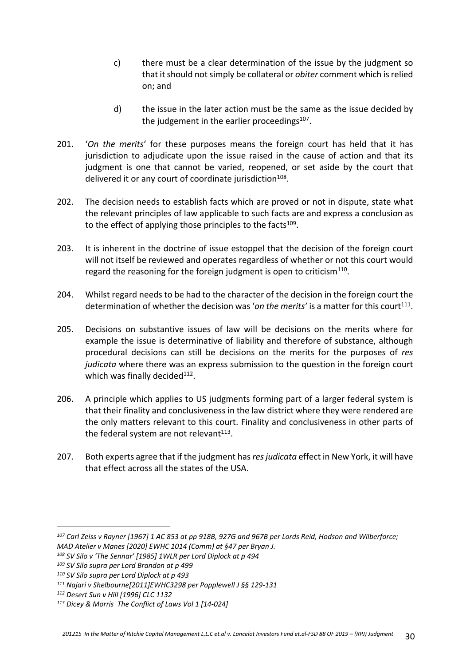- c) there must be a clear determination of the issue by the judgment so that it should not simply be collateral or *obiter* comment which is relied on; and
- d) the issue in the later action must be the same as the issue decided by the judgement in the earlier proceedings $^{107}$ .
- 201. '*On the merits*' for these purposes means the foreign court has held that it has jurisdiction to adjudicate upon the issue raised in the cause of action and that its judgment is one that cannot be varied, reopened, or set aside by the court that delivered it or any court of coordinate jurisdiction<sup>108</sup>.
- 202. The decision needs to establish facts which are proved or not in dispute, state what the relevant principles of law applicable to such facts are and express a conclusion as to the effect of applying those principles to the facts<sup>109</sup>.
- 203. It is inherent in the doctrine of issue estoppel that the decision of the foreign court will not itself be reviewed and operates regardless of whether or not this court would regard the reasoning for the foreign judgment is open to criticism $^{110}$ .
- 204. Whilst regard needs to be had to the character of the decision in the foreign court the determination of whether the decision was 'on the merits' is a matter for this court<sup>111</sup>.
- 205. Decisions on substantive issues of law will be decisions on the merits where for example the issue is determinative of liability and therefore of substance, although procedural decisions can still be decisions on the merits for the purposes of *res judicata* where there was an express submission to the question in the foreign court which was finally decided<sup>112</sup>.
- 206. A principle which applies to US judgments forming part of a larger federal system is that their finality and conclusiveness in the law district where they were rendered are the only matters relevant to this court. Finality and conclusiveness in other parts of the federal system are not relevant $^{113}$ .
- 207. Both experts agree that if the judgment has *res judicata* effect in New York, it will have that effect across all the states of the USA.

*<sup>107</sup> Carl Zeiss v Rayner [1967] 1 AC 853 at pp 918B, 927G and 967B per Lords Reid, Hodson and Wilberforce; MAD Atelier v Manes [2020] EWHC 1014 (Comm) at §47 per Bryan J.*

*<sup>108</sup> SV Silo v 'The Sennar' [1985] 1WLR per Lord Diplock at p 494*

*<sup>109</sup> SV Silo supra per Lord Brandon at p 499*

*<sup>110</sup> SV Silo supra per Lord Diplock at p 493*

*<sup>111</sup> Najari v Shelbourne[2011]EWHC3298 per Popplewell J §§ 129-131*

*<sup>112</sup> Desert Sun v Hill [1996] CLC 1132* 

*<sup>113</sup> Dicey & Morris The Conflict of Laws Vol 1 [14-024]*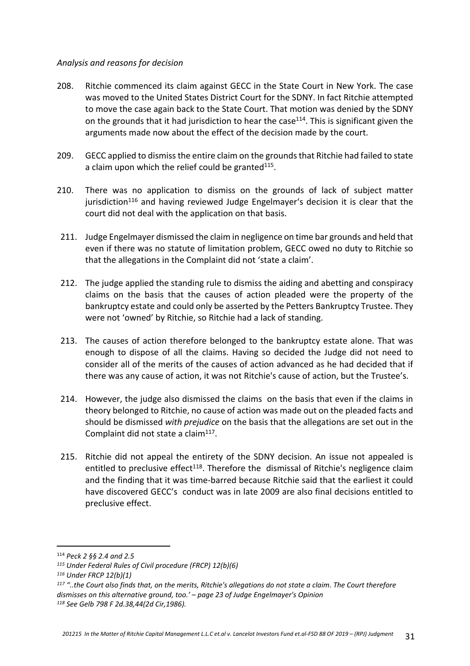#### *Analysis and reasons for decision*

- 208. Ritchie commenced its claim against GECC in the State Court in New York. The case was moved to the United States District Court for the SDNY. In fact Ritchie attempted to move the case again back to the State Court. That motion was denied by the SDNY on the grounds that it had jurisdiction to hear the case<sup>114</sup>. This is significant given the arguments made now about the effect of the decision made by the court.
- 209. GECC applied to dismiss the entire claim on the grounds that Ritchie had failed to state a claim upon which the relief could be granted<sup>115</sup>.
- 210. There was no application to dismiss on the grounds of lack of subject matter jurisdiction<sup>116</sup> and having reviewed Judge Engelmayer's decision it is clear that the court did not deal with the application on that basis.
- 211. Judge Engelmayer dismissed the claim in negligence on time bar grounds and held that even if there was no statute of limitation problem, GECC owed no duty to Ritchie so that the allegations in the Complaint did not 'state a claim'.
- 212. The judge applied the standing rule to dismiss the aiding and abetting and conspiracy claims on the basis that the causes of action pleaded were the property of the bankruptcy estate and could only be asserted by the Petters Bankruptcy Trustee. They were not 'owned' by Ritchie, so Ritchie had a lack of standing.
- 213. The causes of action therefore belonged to the bankruptcy estate alone. That was enough to dispose of all the claims. Having so decided the Judge did not need to consider all of the merits of the causes of action advanced as he had decided that if there was any cause of action, it was not Ritchie's cause of action, but the Trustee's.
- 214. However, the judge also dismissed the claims on the basis that even if the claims in theory belonged to Ritchie, no cause of action was made out on the pleaded facts and should be dismissed *with prejudice* on the basis that the allegations are set out in the Complaint did not state a claim<sup>117</sup>.
- 215. Ritchie did not appeal the entirety of the SDNY decision. An issue not appealed is entitled to preclusive effect<sup>118</sup>. Therefore the dismissal of Ritchie's negligence claim and the finding that it was time-barred because Ritchie said that the earliest it could have discovered GECC's conduct was in late 2009 are also final decisions entitled to preclusive effect.

<sup>114</sup> *Peck 2 §§ 2.4 and 2.5*

*<sup>115</sup> Under Federal Rules of Civil procedure (FRCP) 12(b)(6)*

*<sup>116</sup> Under FRCP 12(b)(1)*

*<sup>117</sup> "..the Court also finds that, on the merits, Ritchie's allegations do not state a claim. The Court therefore dismisses on this alternative ground, too.' – page 23 of Judge Engelmayer's Opinion 118 See Gelb 798 F 2d.38,44(2d Cir,1986).*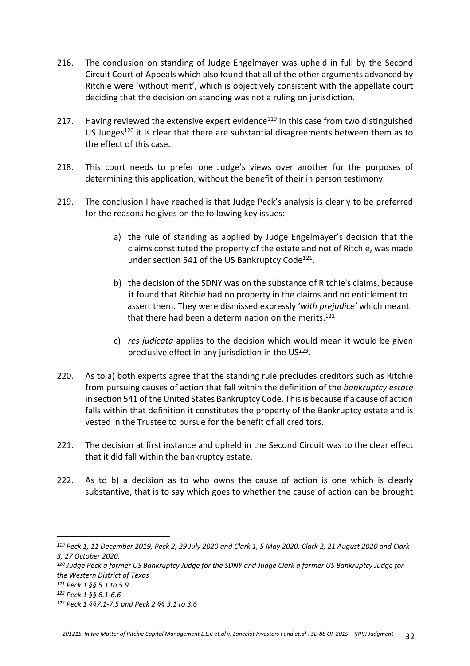- 216. The conclusion on standing of Judge Engelmayer was upheld in full by the Second Circuit Court of Appeals which also found that all of the other arguments advanced by Ritchie were 'without merit', which is objectively consistent with the appellate court deciding that the decision on standing was not a ruling on jurisdiction.
- 217. Having reviewed the extensive expert evidence<sup>119</sup> in this case from two distinguished US Judges<sup>120</sup> it is clear that there are substantial disagreements between them as to the effect of this case.
- 218. This court needs to prefer one Judge's views over another for the purposes of determining this application, without the benefit of their in person testimony.
- 219. The conclusion I have reached is that Judge Peck's analysis is clearly to be preferred for the reasons he gives on the following key issues:
	- a) the rule of standing as applied by Judge Engelmayer's decision that the claims constituted the property of the estate and not of Ritchie, was made under section 541 of the US Bankruptcy Code<sup>121</sup>.
	- b) the decision of the SDNY was on the substance of Ritchie's claims, because it found that Ritchie had no property in the claims and no entitlement to assert them. They were dismissed expressly '*with prejudice'* which meant that there had been a determination on the merits.<sup>122</sup>
	- c) *res judicata* applies to the decision which would mean it would be given preclusive effect in any jurisdiction in the US*<sup>123</sup>* .
- 220. As to a) both experts agree that the standing rule precludes creditors such as Ritchie from pursuing causes of action that fall within the definition of the *bankruptcy estate* in section 541 of the United States Bankruptcy Code. This is because if a cause of action falls within that definition it constitutes the property of the Bankruptcy estate and is vested in the Trustee to pursue for the benefit of all creditors.
- 221. The decision at first instance and upheld in the Second Circuit was to the clear effect that it did fall within the bankruptcy estate.
- 222. As to b) a decision as to who owns the cause of action is one which is clearly substantive, that is to say which goes to whether the cause of action can be brought

*<sup>119</sup> Peck 1, 11 December 2019, Peck 2, 29 July 2020 and Clark 1, 5 May 2020, Clark 2, 21 August 2020 and Clark 3, 27 October 2020.*

*<sup>120</sup> Judge Peck a former US Bankruptcy Judge for the SDNY and Judge Clark a former US Bankruptcy Judge for the Western District of Texas*

*<sup>121</sup> Peck 1 §§ 5.1 to 5.9*

*<sup>122</sup> Peck 1 §§ 6.1-6.6*

*<sup>123</sup> Peck 1 §§7.1-7.5 and Peck 2 §§ 3.1 to 3.6*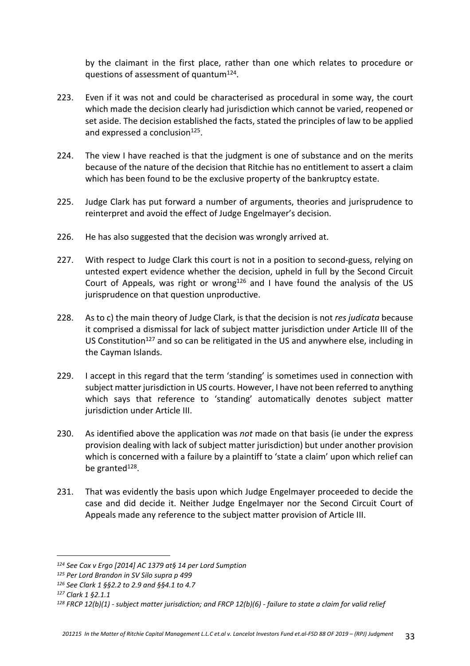by the claimant in the first place, rather than one which relates to procedure or questions of assessment of quantum<sup>124</sup>.

- 223. Even if it was not and could be characterised as procedural in some way, the court which made the decision clearly had jurisdiction which cannot be varied, reopened or set aside. The decision established the facts, stated the principles of law to be applied and expressed a conclusion<sup>125</sup>.
- 224. The view I have reached is that the judgment is one of substance and on the merits because of the nature of the decision that Ritchie has no entitlement to assert a claim which has been found to be the exclusive property of the bankruptcy estate.
- 225. Judge Clark has put forward a number of arguments, theories and jurisprudence to reinterpret and avoid the effect of Judge Engelmayer's decision.
- 226. He has also suggested that the decision was wrongly arrived at.
- 227. With respect to Judge Clark this court is not in a position to second-guess, relying on untested expert evidence whether the decision, upheld in full by the Second Circuit Court of Appeals, was right or wrong<sup>126</sup> and I have found the analysis of the US jurisprudence on that question unproductive.
- 228. As to c) the main theory of Judge Clark, is that the decision is not *res judicata* because it comprised a dismissal for lack of subject matter jurisdiction under Article III of the US Constitution<sup>127</sup> and so can be relitigated in the US and anywhere else, including in the Cayman Islands.
- 229. I accept in this regard that the term 'standing' is sometimes used in connection with subject matter jurisdiction in US courts. However, I have not been referred to anything which says that reference to 'standing' automatically denotes subject matter jurisdiction under Article III.
- 230. As identified above the application was *not* made on that basis (ie under the express provision dealing with lack of subject matter jurisdiction) but under another provision which is concerned with a failure by a plaintiff to 'state a claim' upon which relief can be granted<sup>128</sup>.
- 231. That was evidently the basis upon which Judge Engelmayer proceeded to decide the case and did decide it. Neither Judge Engelmayer nor the Second Circuit Court of Appeals made any reference to the subject matter provision of Article III.

*<sup>124</sup> See Cox v Ergo [2014] AC 1379 at§ 14 per Lord Sumption*

*<sup>125</sup> Per Lord Brandon in SV Silo supra p 499*

*<sup>126</sup> See Clark 1 §§2.2 to 2.9 and §§4.1 to 4.7* 

*<sup>127</sup> Clark 1 §2.1.1*

*<sup>128</sup> FRCP 12(b)(1) - subject matter jurisdiction; and FRCP 12(b)(6) - failure to state a claim for valid relief*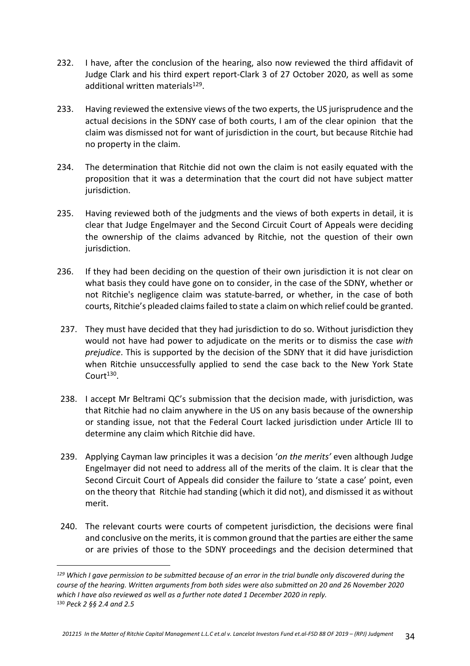- 232. I have, after the conclusion of the hearing, also now reviewed the third affidavit of Judge Clark and his third expert report-Clark 3 of 27 October 2020, as well as some additional written materials<sup>129</sup>.
- 233. Having reviewed the extensive views of the two experts, the US jurisprudence and the actual decisions in the SDNY case of both courts, I am of the clear opinion that the claim was dismissed not for want of jurisdiction in the court, but because Ritchie had no property in the claim.
- 234. The determination that Ritchie did not own the claim is not easily equated with the proposition that it was a determination that the court did not have subject matter jurisdiction.
- 235. Having reviewed both of the judgments and the views of both experts in detail, it is clear that Judge Engelmayer and the Second Circuit Court of Appeals were deciding the ownership of the claims advanced by Ritchie, not the question of their own jurisdiction.
- 236. If they had been deciding on the question of their own jurisdiction it is not clear on what basis they could have gone on to consider, in the case of the SDNY, whether or not Ritchie's negligence claim was statute-barred, or whether, in the case of both courts, Ritchie's pleaded claims failed to state a claim on which relief could be granted.
- 237. They must have decided that they had jurisdiction to do so. Without jurisdiction they would not have had power to adjudicate on the merits or to dismiss the case *with prejudice*. This is supported by the decision of the SDNY that it did have jurisdiction when Ritchie unsuccessfully applied to send the case back to the New York State  $C$ ourt $^{130}$ .
- 238. I accept Mr Beltrami QC's submission that the decision made, with jurisdiction, was that Ritchie had no claim anywhere in the US on any basis because of the ownership or standing issue, not that the Federal Court lacked jurisdiction under Article III to determine any claim which Ritchie did have.
- 239. Applying Cayman law principles it was a decision '*on the merits'* even although Judge Engelmayer did not need to address all of the merits of the claim. It is clear that the Second Circuit Court of Appeals did consider the failure to 'state a case' point, even on the theory that Ritchie had standing (which it did not), and dismissed it as without merit.
- 240. The relevant courts were courts of competent jurisdiction, the decisions were final and conclusive on the merits, it is common ground that the parties are either the same or are privies of those to the SDNY proceedings and the decision determined that

*<sup>129</sup> Which I gave permission to be submitted because of an error in the trial bundle only discovered during the course of the hearing. Written arguments from both sides were also submitted on 20 and 26 November 2020 which I have also reviewed as well as a further note dated 1 December 2020 in reply.* <sup>130</sup> *Peck 2 §§ 2.4 and 2.5*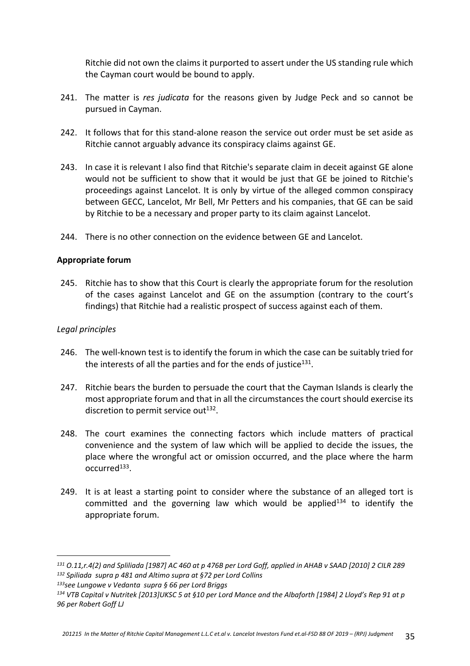Ritchie did not own the claims it purported to assert under the US standing rule which the Cayman court would be bound to apply.

- 241. The matter is *res judicata* for the reasons given by Judge Peck and so cannot be pursued in Cayman.
- 242. It follows that for this stand-alone reason the service out order must be set aside as Ritchie cannot arguably advance its conspiracy claims against GE.
- 243. In case it is relevant I also find that Ritchie's separate claim in deceit against GE alone would not be sufficient to show that it would be just that GE be joined to Ritchie's proceedings against Lancelot. It is only by virtue of the alleged common conspiracy between GECC, Lancelot, Mr Bell, Mr Petters and his companies, that GE can be said by Ritchie to be a necessary and proper party to its claim against Lancelot.
- 244. There is no other connection on the evidence between GE and Lancelot.

## **Appropriate forum**

245. Ritchie has to show that this Court is clearly the appropriate forum for the resolution of the cases against Lancelot and GE on the assumption (contrary to the court's findings) that Ritchie had a realistic prospect of success against each of them.

## *Legal principles*

- 246. The well-known test is to identify the forum in which the case can be suitably tried for the interests of all the parties and for the ends of justice<sup>131</sup>.
- 247. Ritchie bears the burden to persuade the court that the Cayman Islands is clearly the most appropriate forum and that in all the circumstances the court should exercise its discretion to permit service out<sup>132</sup>.
- 248. The court examines the connecting factors which include matters of practical convenience and the system of law which will be applied to decide the issues, the place where the wrongful act or omission occurred, and the place where the harm occurred<sup>133</sup>.
- 249. It is at least a starting point to consider where the substance of an alleged tort is committed and the governing law which would be applied $134$  to identify the appropriate forum.

*<sup>133</sup>see Lungowe v Vedanta supra § 66 per Lord Briggs*

*<sup>131</sup> O.11,r.4(2) and Spliliada [1987] AC 460 at p 476B per Lord Goff, applied in AHAB v SAAD [2010] 2 CILR 289 <sup>132</sup> Spiliada supra p 481 and Altimo supra at §72 per Lord Collins*

*<sup>134</sup> VTB Capital v Nutritek [2013]UKSC 5 at §10 per Lord Mance and the Albaforth [1984] 2 Lloyd's Rep 91 at p 96 per Robert Goff LJ*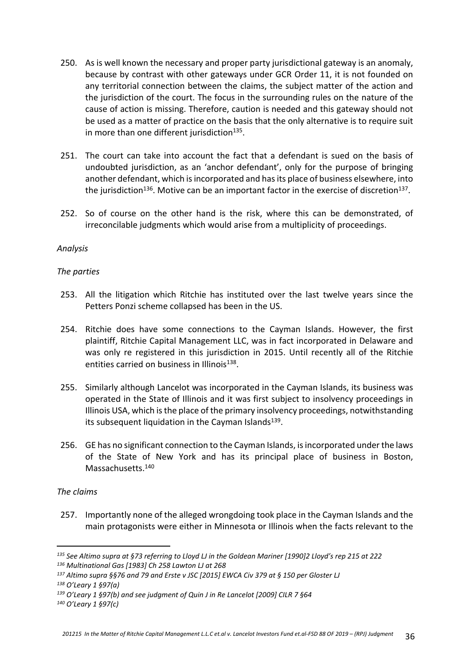- 250. As is well known the necessary and proper party jurisdictional gateway is an anomaly, because by contrast with other gateways under GCR Order 11, it is not founded on any territorial connection between the claims, the subject matter of the action and the jurisdiction of the court. The focus in the surrounding rules on the nature of the cause of action is missing. Therefore, caution is needed and this gateway should not be used as a matter of practice on the basis that the only alternative is to require suit in more than one different jurisdiction<sup>135</sup>.
- 251. The court can take into account the fact that a defendant is sued on the basis of undoubted jurisdiction, as an 'anchor defendant', only for the purpose of bringing another defendant, which is incorporated and has its place of business elsewhere, into the jurisdiction<sup>136</sup>. Motive can be an important factor in the exercise of discretion<sup>137</sup>.
- 252. So of course on the other hand is the risk, where this can be demonstrated, of irreconcilable judgments which would arise from a multiplicity of proceedings.

## *Analysis*

#### *The parties*

- 253. All the litigation which Ritchie has instituted over the last twelve years since the Petters Ponzi scheme collapsed has been in the US.
- 254. Ritchie does have some connections to the Cayman Islands. However, the first plaintiff, Ritchie Capital Management LLC, was in fact incorporated in Delaware and was only re registered in this jurisdiction in 2015. Until recently all of the Ritchie entities carried on business in Illinois<sup>138</sup>.
- 255. Similarly although Lancelot was incorporated in the Cayman Islands, its business was operated in the State of Illinois and it was first subject to insolvency proceedings in Illinois USA, which is the place of the primary insolvency proceedings, notwithstanding its subsequent liquidation in the Cayman Islands<sup>139</sup>.
- 256. GE has no significant connection to the Cayman Islands, is incorporated under the laws of the State of New York and has its principal place of business in Boston, Massachusetts.<sup>140</sup>

#### *The claims*

257. Importantly none of the alleged wrongdoing took place in the Cayman Islands and the main protagonists were either in Minnesota or Illinois when the facts relevant to the

*140 O'Leary 1 §97(c)*

*<sup>135</sup> See Altimo supra at §73 referring to Lloyd LJ in the Goldean Mariner [1990]2 Lloyd's rep 215 at 222*

*<sup>136</sup> Multinational Gas [1983] Ch 258 Lawton LJ at 268*

*<sup>137</sup> Altimo supra §§76 and 79 and Erste v JSC [2015] EWCA Civ 379 at § 150 per Gloster LJ*

*<sup>138</sup> O'Leary 1 §97(a)* 

*<sup>139</sup> O'Leary 1 §97(b) and see judgment of Quin J in Re Lancelot [2009] CILR 7 §64*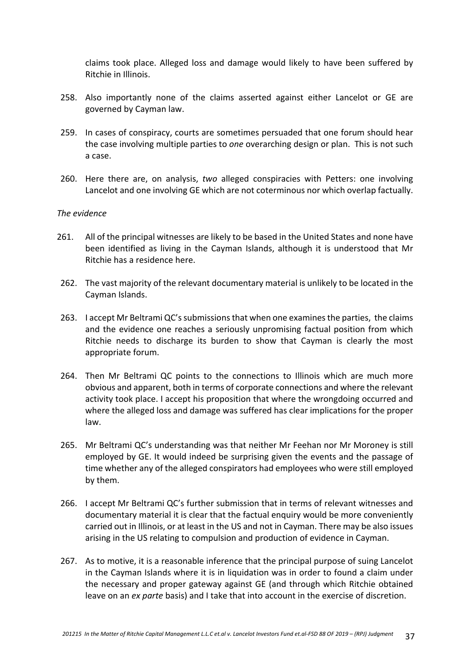claims took place. Alleged loss and damage would likely to have been suffered by Ritchie in Illinois.

- 258. Also importantly none of the claims asserted against either Lancelot or GE are governed by Cayman law.
- 259. In cases of conspiracy, courts are sometimes persuaded that one forum should hear the case involving multiple parties to *one* overarching design or plan. This is not such a case.
- 260. Here there are, on analysis, *two* alleged conspiracies with Petters: one involving Lancelot and one involving GE which are not coterminous nor which overlap factually.

#### *The evidence*

- 261. All of the principal witnesses are likely to be based in the United States and none have been identified as living in the Cayman Islands, although it is understood that Mr Ritchie has a residence here.
- 262. The vast majority of the relevant documentary material is unlikely to be located in the Cayman Islands.
- 263. I accept Mr Beltrami QC's submissions that when one examines the parties, the claims and the evidence one reaches a seriously unpromising factual position from which Ritchie needs to discharge its burden to show that Cayman is clearly the most appropriate forum.
- 264. Then Mr Beltrami QC points to the connections to Illinois which are much more obvious and apparent, both in terms of corporate connections and where the relevant activity took place. I accept his proposition that where the wrongdoing occurred and where the alleged loss and damage was suffered has clear implications for the proper law.
- 265. Mr Beltrami QC's understanding was that neither Mr Feehan nor Mr Moroney is still employed by GE. It would indeed be surprising given the events and the passage of time whether any of the alleged conspirators had employees who were still employed by them.
- 266. I accept Mr Beltrami QC's further submission that in terms of relevant witnesses and documentary material it is clear that the factual enquiry would be more conveniently carried out in Illinois, or at least in the US and not in Cayman. There may be also issues arising in the US relating to compulsion and production of evidence in Cayman.
- 267. As to motive, it is a reasonable inference that the principal purpose of suing Lancelot in the Cayman Islands where it is in liquidation was in order to found a claim under the necessary and proper gateway against GE (and through which Ritchie obtained leave on an *ex parte* basis) and I take that into account in the exercise of discretion.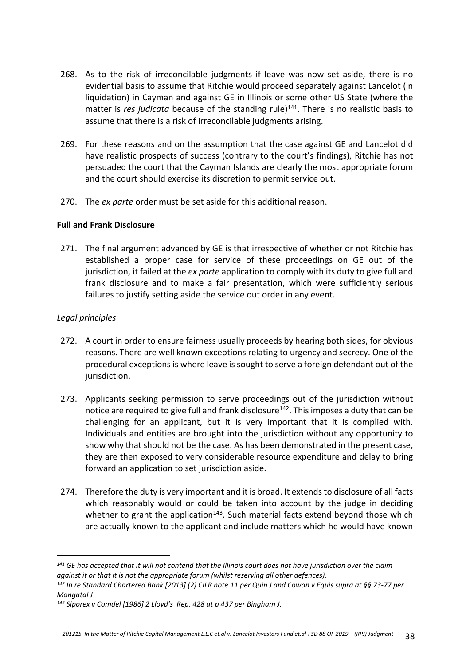- 268. As to the risk of irreconcilable judgments if leave was now set aside, there is no evidential basis to assume that Ritchie would proceed separately against Lancelot (in liquidation) in Cayman and against GE in Illinois or some other US State (where the matter is *res judicata* because of the standing rule)<sup>141</sup>. There is no realistic basis to assume that there is a risk of irreconcilable judgments arising.
- 269. For these reasons and on the assumption that the case against GE and Lancelot did have realistic prospects of success (contrary to the court's findings), Ritchie has not persuaded the court that the Cayman Islands are clearly the most appropriate forum and the court should exercise its discretion to permit service out.
- 270. The *ex parte* order must be set aside for this additional reason.

## **Full and Frank Disclosure**

271. The final argument advanced by GE is that irrespective of whether or not Ritchie has established a proper case for service of these proceedings on GE out of the jurisdiction, it failed at the *ex parte* application to comply with its duty to give full and frank disclosure and to make a fair presentation, which were sufficiently serious failures to justify setting aside the service out order in any event.

# *Legal principles*

- 272. A court in order to ensure fairness usually proceeds by hearing both sides, for obvious reasons. There are well known exceptions relating to urgency and secrecy. One of the procedural exceptions is where leave is sought to serve a foreign defendant out of the jurisdiction.
- 273. Applicants seeking permission to serve proceedings out of the jurisdiction without notice are required to give full and frank disclosure<sup>142</sup>. This imposes a duty that can be challenging for an applicant, but it is very important that it is complied with. Individuals and entities are brought into the jurisdiction without any opportunity to show why that should not be the case. As has been demonstrated in the present case, they are then exposed to very considerable resource expenditure and delay to bring forward an application to set jurisdiction aside.
- 274. Therefore the duty is very important and it is broad. It extends to disclosure of all facts which reasonably would or could be taken into account by the judge in deciding whether to grant the application $143$ . Such material facts extend beyond those which are actually known to the applicant and include matters which he would have known

*<sup>141</sup> GE has accepted that it will not contend that the Illinois court does not have jurisdiction over the claim against it or that it is not the appropriate forum (whilst reserving all other defences).*

*<sup>142</sup> In re Standard Chartered Bank [2013] (2) CILR note 11 per Quin J and Cowan v Equis supra at §§ 73-77 per Mangatal J*

*<sup>143</sup> Siporex v Comdel [1986] 2 Lloyd's Rep. 428 at p 437 per Bingham J.*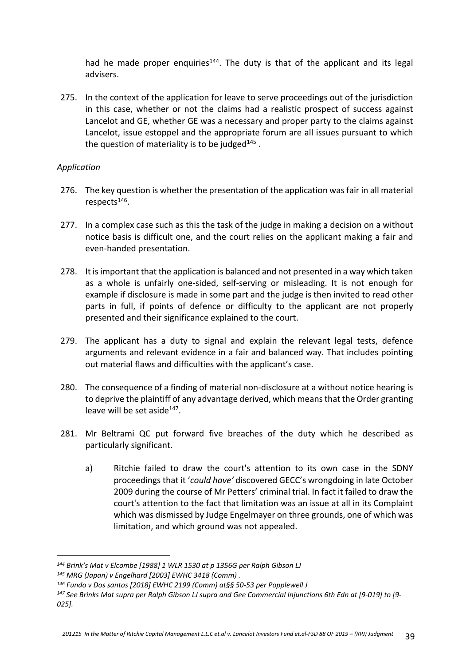had he made proper enquiries<sup>144</sup>. The duty is that of the applicant and its legal advisers.

275. In the context of the application for leave to serve proceedings out of the jurisdiction in this case, whether or not the claims had a realistic prospect of success against Lancelot and GE, whether GE was a necessary and proper party to the claims against Lancelot, issue estoppel and the appropriate forum are all issues pursuant to which the question of materiality is to be judged $^{145}$ .

## *Application*

- 276. The key question is whether the presentation of the application was fair in all material respects<sup>146</sup>.
- 277. In a complex case such as this the task of the judge in making a decision on a without notice basis is difficult one, and the court relies on the applicant making a fair and even-handed presentation.
- 278. It is important that the application is balanced and not presented in a way which taken as a whole is unfairly one-sided, self-serving or misleading. It is not enough for example if disclosure is made in some part and the judge is then invited to read other parts in full, if points of defence or difficulty to the applicant are not properly presented and their significance explained to the court.
- 279. The applicant has a duty to signal and explain the relevant legal tests, defence arguments and relevant evidence in a fair and balanced way. That includes pointing out material flaws and difficulties with the applicant's case.
- 280. The consequence of a finding of material non-disclosure at a without notice hearing is to deprive the plaintiff of any advantage derived, which means that the Order granting leave will be set aside<sup>147</sup>.
- 281. Mr Beltrami QC put forward five breaches of the duty which he described as particularly significant.
	- a) Ritchie failed to draw the court's attention to its own case in the SDNY proceedings that it '*could have'* discovered GECC's wrongdoing in late October 2009 during the course of Mr Petters' criminal trial. In fact it failed to draw the court's attention to the fact that limitation was an issue at all in its Complaint which was dismissed by Judge Engelmayer on three grounds, one of which was limitation, and which ground was not appealed.

*<sup>144</sup> Brink's Mat v Elcombe [1988] 1 WLR 1530 at p 1356G per Ralph Gibson LJ*

*<sup>145</sup> MRG (Japan) v Engelhard [2003] EWHC 3418 (Comm) .*

*<sup>146</sup> Fundo v Dos santos [2018] EWHC 2199 (Comm) at§§ 50-53 per Popplewell J*

*<sup>147</sup> See Brinks Mat supra per Ralph Gibson LJ supra and Gee Commercial Injunctions 6th Edn at [9-019] to [9- 025].*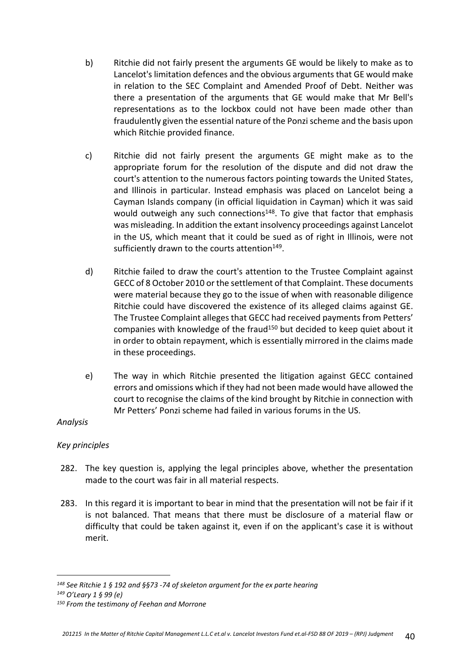- b) Ritchie did not fairly present the arguments GE would be likely to make as to Lancelot's limitation defences and the obvious arguments that GE would make in relation to the SEC Complaint and Amended Proof of Debt. Neither was there a presentation of the arguments that GE would make that Mr Bell's representations as to the lockbox could not have been made other than fraudulently given the essential nature of the Ponzi scheme and the basis upon which Ritchie provided finance.
- c) Ritchie did not fairly present the arguments GE might make as to the appropriate forum for the resolution of the dispute and did not draw the court's attention to the numerous factors pointing towards the United States, and Illinois in particular. Instead emphasis was placed on Lancelot being a Cayman Islands company (in official liquidation in Cayman) which it was said would outweigh any such connections<sup>148</sup>. To give that factor that emphasis was misleading. In addition the extant insolvency proceedings against Lancelot in the US, which meant that it could be sued as of right in Illinois, were not sufficiently drawn to the courts attention<sup>149</sup>.
- d) Ritchie failed to draw the court's attention to the Trustee Complaint against GECC of 8 October 2010 or the settlement of that Complaint. These documents were material because they go to the issue of when with reasonable diligence Ritchie could have discovered the existence of its alleged claims against GE. The Trustee Complaint alleges that GECC had received payments from Petters' companies with knowledge of the fraud<sup>150</sup> but decided to keep quiet about it in order to obtain repayment, which is essentially mirrored in the claims made in these proceedings.
- e) The way in which Ritchie presented the litigation against GECC contained errors and omissions which if they had not been made would have allowed the court to recognise the claims of the kind brought by Ritchie in connection with Mr Petters' Ponzi scheme had failed in various forums in the US.

# *Analysis*

# *Key principles*

- 282. The key question is, applying the legal principles above, whether the presentation made to the court was fair in all material respects.
- 283. In this regard it is important to bear in mind that the presentation will not be fair if it is not balanced. That means that there must be disclosure of a material flaw or difficulty that could be taken against it, even if on the applicant's case it is without merit.

*<sup>148</sup> See Ritchie 1 § 192 and §§73 -74 of skeleton argument for the ex parte hearing*

*<sup>149</sup> O'Leary 1 § 99 (e)*

*<sup>150</sup> From the testimony of Feehan and Morrone*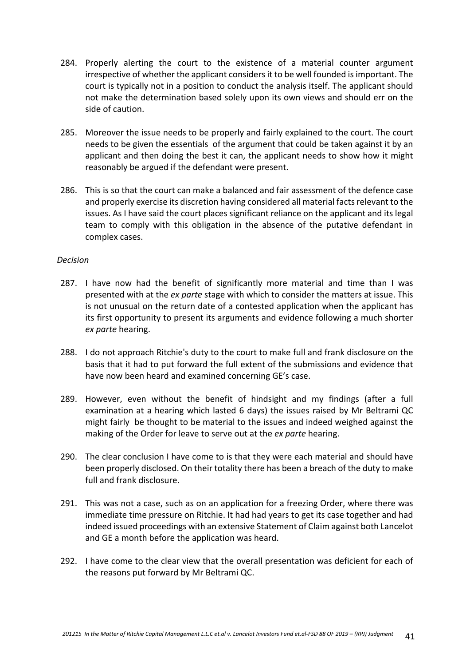- 284. Properly alerting the court to the existence of a material counter argument irrespective of whether the applicant considers it to be well founded is important. The court is typically not in a position to conduct the analysis itself. The applicant should not make the determination based solely upon its own views and should err on the side of caution.
- 285. Moreover the issue needs to be properly and fairly explained to the court. The court needs to be given the essentials of the argument that could be taken against it by an applicant and then doing the best it can, the applicant needs to show how it might reasonably be argued if the defendant were present.
- 286. This is so that the court can make a balanced and fair assessment of the defence case and properly exercise its discretion having considered all material facts relevant to the issues. As I have said the court places significant reliance on the applicant and its legal team to comply with this obligation in the absence of the putative defendant in complex cases.

#### *Decision*

- 287. I have now had the benefit of significantly more material and time than I was presented with at the *ex parte* stage with which to consider the matters at issue. This is not unusual on the return date of a contested application when the applicant has its first opportunity to present its arguments and evidence following a much shorter *ex parte* hearing.
- 288. I do not approach Ritchie's duty to the court to make full and frank disclosure on the basis that it had to put forward the full extent of the submissions and evidence that have now been heard and examined concerning GE's case.
- 289. However, even without the benefit of hindsight and my findings (after a full examination at a hearing which lasted 6 days) the issues raised by Mr Beltrami QC might fairly be thought to be material to the issues and indeed weighed against the making of the Order for leave to serve out at the *ex parte* hearing.
- 290. The clear conclusion I have come to is that they were each material and should have been properly disclosed. On their totality there has been a breach of the duty to make full and frank disclosure.
- 291. This was not a case, such as on an application for a freezing Order, where there was immediate time pressure on Ritchie. It had had years to get its case together and had indeed issued proceedings with an extensive Statement of Claim against both Lancelot and GE a month before the application was heard.
- 292. I have come to the clear view that the overall presentation was deficient for each of the reasons put forward by Mr Beltrami QC.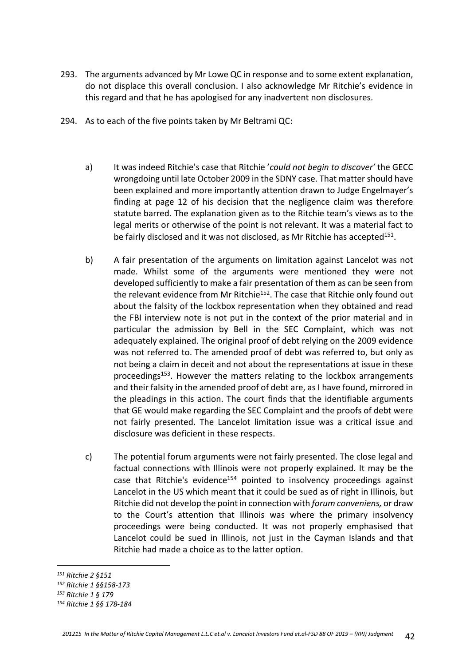- 293. The arguments advanced by Mr Lowe QC in response and to some extent explanation, do not displace this overall conclusion. I also acknowledge Mr Ritchie's evidence in this regard and that he has apologised for any inadvertent non disclosures.
- 294. As to each of the five points taken by Mr Beltrami QC:
	- a) It was indeed Ritchie's case that Ritchie '*could not begin to discover'* the GECC wrongdoing until late October 2009 in the SDNY case. That matter should have been explained and more importantly attention drawn to Judge Engelmayer's finding at page 12 of his decision that the negligence claim was therefore statute barred. The explanation given as to the Ritchie team's views as to the legal merits or otherwise of the point is not relevant. It was a material fact to be fairly disclosed and it was not disclosed, as Mr Ritchie has accepted<sup>151</sup>.
	- b) A fair presentation of the arguments on limitation against Lancelot was not made. Whilst some of the arguments were mentioned they were not developed sufficiently to make a fair presentation of them as can be seen from the relevant evidence from Mr Ritchie<sup>152</sup>. The case that Ritchie only found out about the falsity of the lockbox representation when they obtained and read the FBI interview note is not put in the context of the prior material and in particular the admission by Bell in the SEC Complaint, which was not adequately explained. The original proof of debt relying on the 2009 evidence was not referred to. The amended proof of debt was referred to, but only as not being a claim in deceit and not about the representations at issue in these proceedings<sup>153</sup>. However the matters relating to the lockbox arrangements and their falsity in the amended proof of debt are, as I have found, mirrored in the pleadings in this action. The court finds that the identifiable arguments that GE would make regarding the SEC Complaint and the proofs of debt were not fairly presented. The Lancelot limitation issue was a critical issue and disclosure was deficient in these respects.
	- c) The potential forum arguments were not fairly presented. The close legal and factual connections with Illinois were not properly explained. It may be the case that Ritchie's evidence<sup>154</sup> pointed to insolvency proceedings against Lancelot in the US which meant that it could be sued as of right in Illinois, but Ritchie did not develop the point in connection with *forum conveniens,* or draw to the Court's attention that Illinois was where the primary insolvency proceedings were being conducted. It was not properly emphasised that Lancelot could be sued in Illinois, not just in the Cayman Islands and that Ritchie had made a choice as to the latter option.

*<sup>151</sup> Ritchie 2 §151*

*<sup>152</sup> Ritchie 1 §§158-173*

*<sup>153</sup> Ritchie 1 § 179*

*<sup>154</sup> Ritchie 1 §§ 178-184*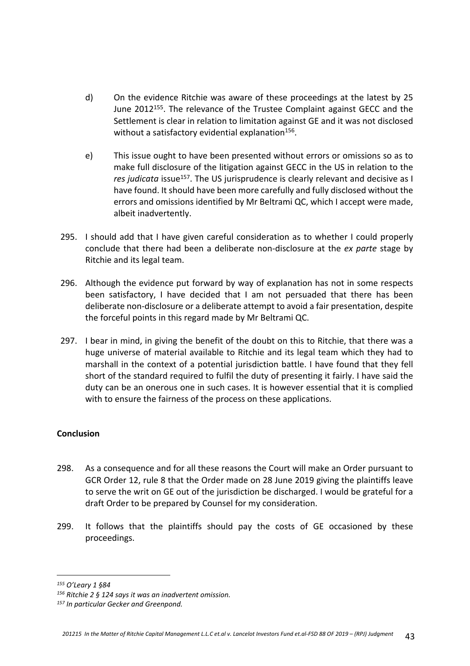- d) On the evidence Ritchie was aware of these proceedings at the latest by 25 June 2012<sup>155</sup>. The relevance of the Trustee Complaint against GECC and the Settlement is clear in relation to limitation against GE and it was not disclosed without a satisfactory evidential explanation<sup>156</sup>.
- e) This issue ought to have been presented without errors or omissions so as to make full disclosure of the litigation against GECC in the US in relation to the *res judicata* issue<sup>157</sup>. The US jurisprudence is clearly relevant and decisive as I have found. It should have been more carefully and fully disclosed without the errors and omissions identified by Mr Beltrami QC, which I accept were made, albeit inadvertently.
- 295. I should add that I have given careful consideration as to whether I could properly conclude that there had been a deliberate non-disclosure at the *ex parte* stage by Ritchie and its legal team.
- 296. Although the evidence put forward by way of explanation has not in some respects been satisfactory, I have decided that I am not persuaded that there has been deliberate non-disclosure or a deliberate attempt to avoid a fair presentation, despite the forceful points in this regard made by Mr Beltrami QC.
- 297. I bear in mind, in giving the benefit of the doubt on this to Ritchie, that there was a huge universe of material available to Ritchie and its legal team which they had to marshall in the context of a potential jurisdiction battle. I have found that they fell short of the standard required to fulfil the duty of presenting it fairly. I have said the duty can be an onerous one in such cases. It is however essential that it is complied with to ensure the fairness of the process on these applications.

#### **Conclusion**

- 298. As a consequence and for all these reasons the Court will make an Order pursuant to GCR Order 12, rule 8 that the Order made on 28 June 2019 giving the plaintiffs leave to serve the writ on GE out of the jurisdiction be discharged. I would be grateful for a draft Order to be prepared by Counsel for my consideration.
- 299. It follows that the plaintiffs should pay the costs of GE occasioned by these proceedings.

*<sup>155</sup> O'Leary 1 §84*

*<sup>156</sup> Ritchie 2 § 124 says it was an inadvertent omission.*

*<sup>157</sup> In particular Gecker and Greenpond.*